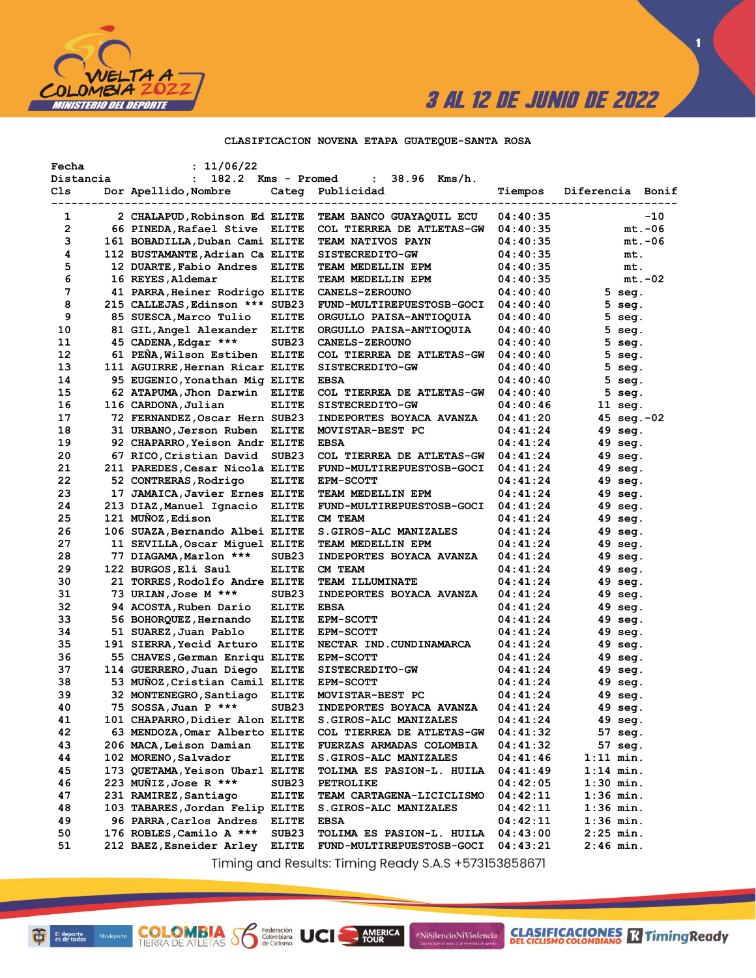

 $\blacksquare$ 

#### CLASIFICACION NOVENA ETAPA GUATEQUE-SANTA ROSA

| Fecha<br>Distancia | : 11/06/22<br>182.2<br>$\ddot{\phantom{a}}$ | Kms - Promed      | 38.96 Kms/h.<br>$\ddot{\phantom{a}}$ |                 |                  |
|--------------------|---------------------------------------------|-------------------|--------------------------------------|-----------------|------------------|
| Cls                | Dor Apellido, Nombre                        | Categ             | Publicidad                           | Tiempos         | Diferencia Bonif |
| 1                  | 2 CHALAPUD, Robinson Ed ELITE               |                   | -------<br>TEAM BANCO GUAYAQUIL ECU  | 04:40:35        | $-10$            |
| 2                  | 66 PINEDA, Rafael Stive ELITE               |                   | COL TIERREA DE ATLETAS-GW            | 04:40:35        | $mt.-06$         |
| 3                  | 161 BOBADILLA, Duban Cami ELITE             |                   | TEAM NATIVOS PAYN                    | 04:40:35        | mt.-06           |
| 4                  | 112 BUSTAMANTE, Adrian Ca ELITE             |                   | SISTECREDITO-GW                      | 04:40:35        | mt.              |
| 5                  | 12 DUARTE, Fabio Andres                     | <b>ELITE</b>      | TEAM MEDELLIN EPM                    | 04:40:35        | mt.              |
| 6                  | 16 REYES, Aldemar                           | <b>ELITE</b>      | TEAM MEDELLIN EPM                    | 04:40:35        | mt.-02           |
| 7                  | 41 PARRA,Heiner Rodrigo ELITE               |                   | <b>CANELS-ZEROUNO</b>                | 04:40:40        | $5 \text{ seg.}$ |
| 8                  | 215 CALLEJAS, Edinson *** SUB23             |                   | FUND-MULTIREPUESTOSB-GOCI            | 04:40:40        | $5$ seg.         |
| 9                  | 85 SUESCA, Marco Tulio                      | <b>ELITE</b>      | ORGULLO PAISA-ANTIOQUIA              | 04:40:40        | $5$ seg.         |
| 10                 | 81 GIL, Angel Alexander                     | <b>ELITE</b>      | ORGULLO PAISA-ANTIOQUIA              | 04:40:40        | $5 \text{ seg.}$ |
| 11                 | 45 CADENA, Edgar ***                        | SUB <sub>23</sub> | <b>CANELS-ZEROUNO</b>                | 04:40:40        | $5$ seg.         |
| 12                 | 61 PENA, Wilson Estiben ELITE               |                   | COL TIERREA DE ATLETAS-GW            | 04:40:40        | $5$ seg.         |
| 13                 | 111 AGUIRRE, Hernan Ricar ELITE             |                   | SISTECREDITO-GW                      | 04:40:40        | $5$ seg.         |
| 14                 | 95 EUGENIO, Yonathan Mig ELITE              |                   | <b>EBSA</b>                          | 04:40:40        | $5$ seg.         |
| 15                 | 62 ATAPUMA, Jhon Darwin ELITE               |                   | COL TIERREA DE ATLETAS-GW            | 04:40:40        | $5$ seg.         |
| 16                 | 116 CARDONA, Julian                         | <b>ELITE</b>      | SISTECREDITO-GW                      | 04:40:46        | $11$ seg.        |
| 17                 | 72 FERNANDEZ, Oscar Hern SUB23              |                   | <b>INDEPORTES BOYACA AVANZA</b>      | 04:41:20        | 45 seg.-02       |
| 18                 | 31 URBANO, Jerson Ruben                     | <b>ELITE</b>      | MOVISTAR-BEST PC                     | 04:41:24        | 49 seg.          |
| 19                 | 92 CHAPARRO,Yeison Andr ELITE               |                   | <b>EBSA</b>                          | 04:41:24        | 49 seg.          |
| 20                 | 67 RICO, Cristian David                     | SUB <sub>23</sub> | COL TIERREA DE ATLETAS-GW            | 04:41:24        | 49 seg.          |
| 21                 | 211 PAREDES, Cesar Nicola ELITE             |                   | FUND-MULTIREPUESTOSB-GOCI            | 04:41:24        | 49 seg.          |
| 22                 | 52 CONTRERAS, Rodrigo                       | <b>ELITE</b>      | <b>EPM-SCOTT</b>                     | 04:41:24        | 49 seg.          |
| 23                 | 17 JAMAICA, Javier Ernes ELITE              |                   | TEAM MEDELLIN EPM                    | 04:41:24        | 49 seg.          |
| 24                 | 213 DIAZ, Manuel Ignacio                    | <b>ELITE</b>      | FUND-MULTIREPUESTOSB-GOCI            | 04:41:24        | 49 seg.          |
| 25                 | 121 MUÑOZ, Edison                           | <b>ELITE</b>      | CM TEAM                              | 04:41:24        | 49 seg.          |
| 26                 | 106 SUAZA, Bernando Albei ELITE             |                   | S.GIROS-ALC MANIZALES                | 04:41:24        | 49 seg.          |
| 27                 | 11 SEVILLA, Oscar Miquel ELITE              |                   | TEAM MEDELLIN EPM                    | 04:41:24        | 49 seg.          |
| 28                 | 77 DIAGAMA, Marlon ***                      | SUB <sub>23</sub> | INDEPORTES BOYACA AVANZA             | 04:41:24        | 49 seg.          |
| 29                 | 122 BURGOS, Eli Saul                        | <b>ELITE</b>      | CM TEAM                              | 04:41:24        | 49 seg.          |
| 30                 | 21 TORRES,Rodolfo Andre ELITE               |                   | <b>TEAM ILLUMINATE</b>               | 04:41:24        | 49 seg.          |
| 31                 | 73 URIAN, Jose M ***                        | SUB <sub>23</sub> | INDEPORTES BOYACA AVANZA             | 04:41:24        | 49 seg.          |
| 32                 | 94 ACOSTA, Ruben Dario                      | <b>ELITE</b>      | <b>EBSA</b>                          | 04:41:24        | 49 seg.          |
| 33                 | 56 BOHORQUEZ,Hernando                       | <b>ELITE</b>      | <b>EPM-SCOTT</b>                     | 04:41:24        | 49 seg.          |
| 34                 | 51 SUAREZ,Juan Pablo                        | <b>ELITE</b>      | <b>EPM-SCOTT</b>                     | 04:41:24        | 49 seg.          |
| 35                 | 191 SIERRA, Yecid Arturo                    | <b>ELITE</b>      | NECTAR IND.CUNDINAMARCA              | 04:41:24        | 49 seg.          |
| 36                 | 55 CHAVES, German Enriqu ELITE              |                   | <b>EPM-SCOTT</b>                     | 04:41:24        | 49 seg.          |
| 37                 | 114 GUERRERO, Juan Diego                    | <b>ELITE</b>      | SISTECREDITO-GW                      | 04:41:24        | 49 seg.          |
| 38                 | 53 MUÑOZ, Cristian Camil ELITE              |                   | <b>EPM-SCOTT</b>                     | 04:41:24        | 49 seg.          |
| 39                 | 32 MONTENEGRO, Santiago                     | <b>ELITE</b>      | MOVISTAR-BEST PC                     | 04:41:24        | 49 seg.          |
| 40                 | 75 SOSSA, Juan P ***                        | SUB <sub>23</sub> | INDEPORTES BOYACA AVANZA             | <b>04:41:24</b> | 49 sea.          |
| 41                 | 101 CHAPARRO, Didier Alon ELITE             |                   | S.GIROS-ALC MANIZALES                | 04:41:24        | 49 seg.          |
| 42                 | 63 MENDOZA, Omar Alberto ELITE              |                   | COL TIERREA DE ATLETAS-GW            | 04:41:32        | 57 seg.          |
| 43                 | 206 MACA, Leison Damian                     | <b>ELITE</b>      | FUERZAS ARMADAS COLOMBIA             | 04:41:32        | 57 seg.          |
| 44                 | 102 MORENO, Salvador                        | <b>ELITE</b>      | S.GIROS-ALC MANIZALES                | 04:41:46        | $1:11$ min.      |
| 45                 | 173 QUETAMA, Yeison Ubarl ELITE             |                   | <b>TOLIMA ES PASION-L. HUILA</b>     | 04:41:49        | $1:14$ min.      |
| 46                 | 223 MUÑIZ, Jose R ***                       | SUB23             | <b>PETROLIKE</b>                     | 04:42:05        | 1:30 min.        |
| 47                 | 231 RAMIREZ, Santiago                       | <b>ELITE</b>      | TEAM CARTAGENA-LICICLISMO            | 04:42:11        | 1:36 min.        |
| 48                 | 103 TABARES, Jordan Felip ELITE             |                   | S.GIROS-ALC MANIZALES                | 04:42:11        | $1:36$ min.      |
| 49                 | 96 PARRA, Carlos Andres                     | <b>ELITE</b>      | <b>EBSA</b>                          | 04:42:11        | 1:36 min.        |
| 50                 | 176 ROBLES, Camilo A ***                    | SUB <sub>23</sub> | <b>TOLIMA ES PASION-L. HUILA</b>     | 04:43:00        | $2:25$ min.      |
| 51                 | 212 BAEZ, Esneider Arley                    | <b>ELITE</b>      | FUND-MULTIREPUESTOSB-GOCI            | 04:43:21        | 2:46 min.        |

Timing and Results: Timing Ready S.A.S +573153858671

AMERICA

#NiSilencioNiViolencia

**COLOMBIA Se Ederación** UCI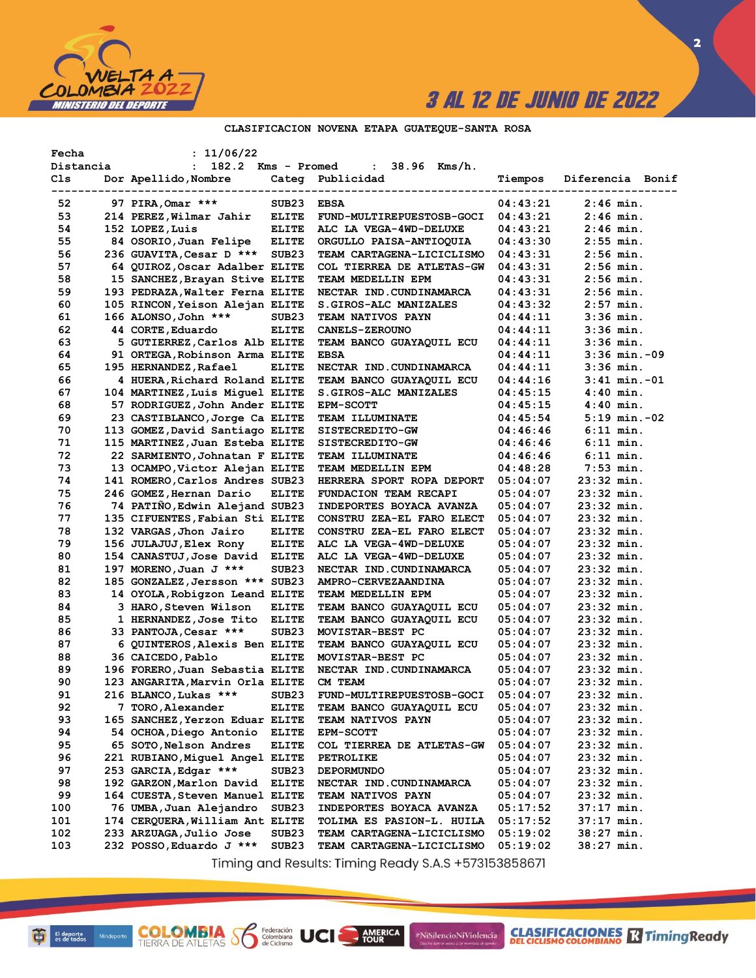

 $\overline{\mathbf{2}}$ 

### CLASIFICACION NOVENA ETAPA GUATEQUE-SANTA ROSA

| Fecha     | : 11/06/22                      |                   |                                   |          |                                                       |
|-----------|---------------------------------|-------------------|-----------------------------------|----------|-------------------------------------------------------|
| Distancia | $\mathbf{L}$                    |                   | 182.2 Kms - Promed : 38.96 Kms/h. |          |                                                       |
| Cls       | Dor Apellido,Nombre             |                   | Categ Publicidad                  | Tiempos  | Diferencia Bonif<br>--------------------------------- |
| 52        | 97 PIRA, Omar ***               | SUB23             | <b>EBSA</b>                       | 04:43:21 | $2:46$ min.                                           |
| 53        | 214 PEREZ, Wilmar Jahir         | <b>ELITE</b>      | FUND-MULTIREPUESTOSB-GOCI         | 04:43:21 | $2:46$ min.                                           |
| 54        | 152 LOPEZ, Luis                 | <b>ELITE</b>      | ALC LA VEGA-4WD-DELUXE            | 04:43:21 | $2:46$ min.                                           |
| 55        | 84 OSORIO, Juan Felipe          | <b>ELITE</b>      | ORGULLO PAISA-ANTIOQUIA           | 04:43:30 | $2:55$ min.                                           |
| 56        | 236 GUAVITA, Cesar D *** SUB23  |                   | TEAM CARTAGENA-LICICLISMO         | 04:43:31 | $2:56$ min.                                           |
| 57        | 64 QUIROZ, Oscar Adalber ELITE  |                   | COL TIERREA DE ATLETAS-GW         | 04:43:31 | $2:56$ min.                                           |
| 58        | 15 SANCHEZ, Brayan Stive ELITE  |                   | TEAM MEDELLIN EPM                 | 04:43:31 | $2:56$ min.                                           |
| 59        | 193 PEDRAZA, Walter Ferna ELITE |                   | NECTAR IND.CUNDINAMARCA           | 04:43:31 | $2:56$ min.                                           |
| 60        | 105 RINCON, Yeison Alejan ELITE |                   | S.GIROS-ALC MANIZALES             | 04:43:32 | $2:57$ min.                                           |
| 61        | 166 ALONSO, John ***            | SUB <sub>23</sub> | TEAM NATIVOS PAYN                 | 04:44:11 | $3:36$ min.                                           |
| 62        | 44 CORTE, Eduardo               | <b>ELITE</b>      | <b>CANELS-ZEROUNO</b>             | 04:44:11 | $3:36$ min.                                           |
| 63        | 5 GUTIERREZ, Carlos Alb ELITE   |                   | TEAM BANCO GUAYAQUIL ECU          | 04:44:11 | $3:36$ min.                                           |
| 64        | 91 ORTEGA, Robinson Arma ELITE  |                   | <b>EBSA</b>                       | 04:44:11 | $3:36$ min. $-09$                                     |
| 65        | 195 HERNANDEZ, Rafael           | <b>ELITE</b>      | NECTAR IND. CUNDINAMARCA          | 04:44:11 | $3:36$ min.                                           |
| 66        | 4 HUERA, Richard Roland ELITE   |                   | TEAM BANCO GUAYAQUIL ECU          | 04:44:16 | $3:41$ min.-01                                        |
| 67        | 104 MARTINEZ, Luis Miquel ELITE |                   | S.GIROS-ALC MANIZALES             | 04:45:15 | $4:40$ min.                                           |
| 68        | 57 RODRIGUEZ, John Ander ELITE  |                   | EPM-SCOTT                         | 04:45:15 | $4:40$ min.                                           |
| 69        | 23 CASTIBLANCO, Jorge Ca ELITE  |                   | <b>TEAM ILLUMINATE</b>            | 04:45:54 | $5:19$ min. $-02$                                     |
| 70        | 113 GOMEZ, David Santiago ELITE |                   | SISTECREDITO-GW                   | 04:46:46 | $6:11$ min.                                           |
| 71        | 115 MARTINEZ, Juan Esteba ELITE |                   | <b>SISTECREDITO-GW</b>            | 04:46:46 | $6:11$ min.                                           |
| 72        | 22 SARMIENTO, Johnatan F ELITE  |                   | <b>TEAM ILLUMINATE</b>            | 04:46:46 | $6:11$ min.                                           |
| 73        | 13 OCAMPO, Victor Alejan ELITE  |                   | TEAM MEDELLIN EPM                 | 04:48:28 | $7:53$ min.                                           |
| 74        | 141 ROMERO, Carlos Andres SUB23 |                   | HERRERA SPORT ROPA DEPORT         | 05:04:07 | $23:32$ min.                                          |
| 75        | 246 GOMEZ, Hernan Dario         | <b>ELITE</b>      | <b>FUNDACION TEAM RECAPI</b>      | 05:04:07 | $23:32$ min.                                          |
| 76        | 74 PATINO, Edwin Alejand SUB23  |                   | INDEPORTES BOYACA AVANZA          | 05:04:07 | $23:32$ min.                                          |
| 77        | 135 CIFUENTES, Fabian Sti ELITE |                   | CONSTRU ZEA-EL FARO ELECT         | 05:04:07 | $23:32$ min.                                          |
| 78        | 132 VARGAS, Jhon Jairo          | <b>ELITE</b>      | CONSTRU ZEA-EL FARO ELECT         | 05:04:07 | $23:32$ min.                                          |
| 79        | 156 JULAJUJ, Elex Rony          | <b>ELITE</b>      | ALC LA VEGA-4WD-DELUXE            | 05:04:07 | $23:32$ min.                                          |
| 80        | 154 CANASTUJ, Jose David ELITE  |                   | ALC LA VEGA-4WD-DELUXE            | 05:04:07 | $23:32$ min.                                          |
| 81        | 197 MORENO, Juan J ***          | SUB <sub>23</sub> | NECTAR IND.CUNDINAMARCA           | 05:04:07 | $23:32$ min.                                          |
| 82        | 185 GONZALEZ, Jersson *** SUB23 |                   | AMPRO-CERVEZAANDINA               | 05:04:07 | $23:32$ min.                                          |
| 83        | 14 OYOLA, Robigzon Leand ELITE  |                   | TEAM MEDELLIN EPM                 | 05:04:07 | $23:32$ min.                                          |
| 84        | 3 HARO, Steven Wilson           | <b>ELITE</b>      | TEAM BANCO GUAYAQUIL ECU          | 05:04:07 | $23:32$ min.                                          |
| 85        | 1 HERNANDEZ,Jose Tito           | <b>ELITE</b>      | TEAM BANCO GUAYAQUIL ECU          | 05:04:07 | $23:32$ min.                                          |
| 86        | 33 PANTOJA, Cesar ***           | SUB23             | MOVISTAR-BEST PC                  | 05:04:07 | $23:32$ min.                                          |
| 87        | 6 QUINTEROS, Alexis Ben ELITE   |                   | TEAM BANCO GUAYAQUIL ECU          | 05:04:07 | $23:32$ min.                                          |
| 88        | 36 CAICEDO, Pablo               | <b>ELITE</b>      | MOVISTAR-BEST PC                  | 05:04:07 | $23:32$ min.                                          |
| 89        | 196 FORERO, Juan Sebastia ELITE |                   | NECTAR IND. CUNDINAMARCA          | 05:04:07 | $23:32$ min.                                          |
| 90        | 123 ANGARITA, Marvin Orla ELITE |                   | CM TEAM                           | 05:04:07 | $23:32$ min.                                          |
| 91        | 216 BLANCO, Lukas ***           | SUB <sub>23</sub> | FUND-MULTIREPUESTOSB-GOCI         | 05:04:07 | $23:32$ min.                                          |
| 92        | 7 TORO, Alexander               | <b>ELITE</b>      | TEAM BANCO GUAYAQUIL ECU          | 05:04:07 | 23:32 min.                                            |
| 93        | 165 SANCHEZ, Yerzon Eduar ELITE |                   | TEAM NATIVOS PAYN                 | 05:04:07 | $23:32$ min.                                          |
| 94        | 54 OCHOA, Diego Antonio         | <b>ELITE</b>      | <b>EPM-SCOTT</b>                  | 05:04:07 | $23:32$ min.                                          |
| 95        | 65 SOTO, Nelson Andres          | <b>ELITE</b>      | COL TIERREA DE ATLETAS-GW         | 05:04:07 | 23:32 min.                                            |
| 96        | 221 RUBIANO, Miguel Angel ELITE |                   | PETROLIKE                         | 05:04:07 | $23:32$ min.                                          |
| 97        | 253 GARCIA, Edgar ***           | SUB <sub>23</sub> | <b>DEPORMUNDO</b>                 | 05:04:07 | 23:32 min.                                            |
| 98        | 192 GARZON, Marlon David        | <b>ELITE</b>      | NECTAR IND. CUNDINAMARCA          | 05:04:07 | $23:32$ min.                                          |
| 99        | 164 CUESTA, Steven Manuel ELITE |                   | <b>TEAM NATIVOS PAYN</b>          | 05:04:07 | $23:32$ min.                                          |
| 100       | 76 UMBA, Juan Alejandro         | SUB <sub>23</sub> | INDEPORTES BOYACA AVANZA          | 05:17:52 | $37:17$ min.                                          |
| 101       | 174 CERQUERA, William Ant ELITE |                   | <b>TOLIMA ES PASION-L. HUILA</b>  | 05:17:52 | 37:17 min.                                            |
| 102       | 233 ARZUAGA, Julio Jose         | SUB23             | TEAM CARTAGENA-LICICLISMO         | 05:19:02 | 38:27 min.                                            |
| 103       | 232 POSSO, Eduardo J ***        | SUB <sub>23</sub> | TEAM CARTAGENA-LICICLISMO         | 05:19:02 | 38:27 min.                                            |

Timing and Results: Timing Ready S.A.S +573153858671

AMERICA

#NiSilencioNiViolencia

**COLOMBIA S** 

Federación<br>Colombiana<br>de Ciclismo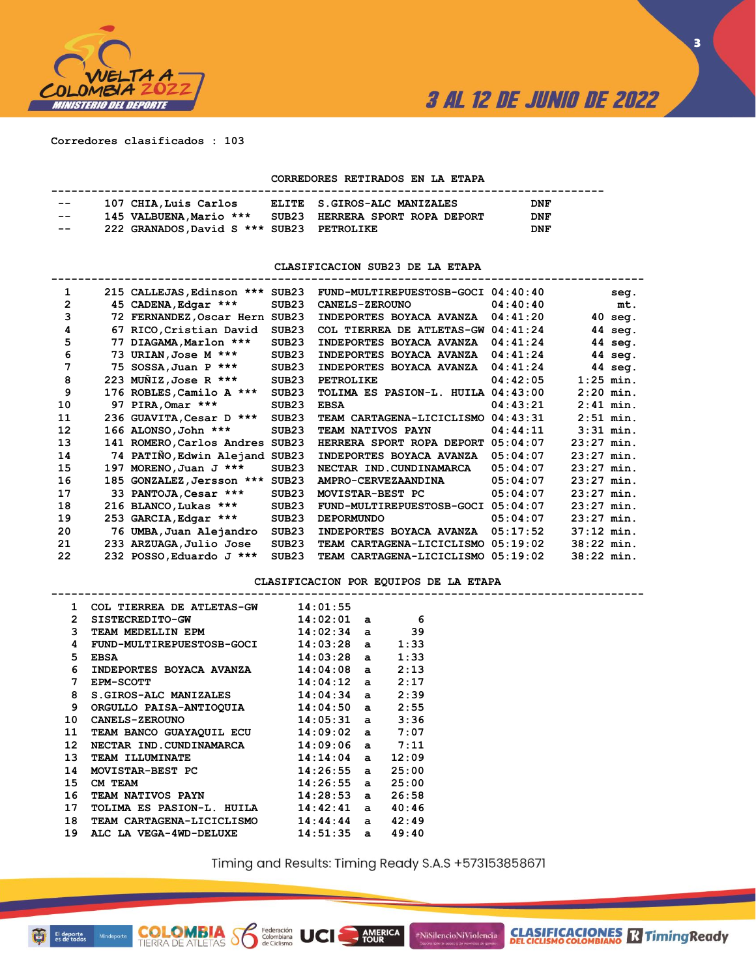

**3**

**Corredores clasificados : 103**

#### **CORREDORES RETIRADOS EN LA ETAPA**

| $- -$ |                                           |                                 |            |
|-------|-------------------------------------------|---------------------------------|------------|
|       | 107 CHIA, Luis Carlos                     | ELITE S.GIROS-ALC MANIZALES     | <b>DNF</b> |
| $- -$ | 145 VALBUENA, Mario ***                   | SUB23 HERRERA SPORT ROPA DEPORT | <b>DNF</b> |
| $- -$ | 222 GRANADOS, David S *** SUB23 PETROLIKE |                                 | <b>DNF</b> |

**CLASIFICACION SUB23 DE LA ETAPA**

| 67<br>77 | 215 CALLEJAS, Edinson *** SUB23<br>45 CADENA, Edgar ***<br>72 FERNANDEZ, Oscar Hern SUB23<br>RICO, Cristian David<br>DIAGAMA, Marlon ***<br>73 URIAN, Jose M ***<br>75 SOSSA, Juan P ***<br>223 MUÑIZ, Jose R ***<br>176 ROBLES, Camilo A ***<br>97 PIRA, Omar *** | SUB <sub>23</sub><br>SUB <sub>23</sub><br>SUB <sub>23</sub><br>SUB <sub>23</sub><br>SUB <sub>23</sub><br>SUB <sub>23</sub><br>SUB <sub>23</sub> | FUND-MULTIREPUESTOSB-GOCI 04:40:40<br><b>CANELS-ZEROUNO</b><br>INDEPORTES BOYACA AVANZA<br>COL TIERREA DE ATLETAS-GW<br>INDEPORTES BOYACA AVANZA<br>INDEPORTES BOYACA AVANZA<br>INDEPORTES BOYACA AVANZA<br>PETROLIKE<br>TOLIMA ES PASION-L. HUILA | 04:40:40<br>04:41:20<br>04:41:24<br>04:41:24<br>04:41:24<br>04:41:24<br>04:42:05<br>04:43:00 | $1:25$ min.                        | seg.<br>mt.<br>$40$ seg.<br>44 seg.<br>44 seg.<br>44 seg.<br>44 seg.                                   |
|----------|--------------------------------------------------------------------------------------------------------------------------------------------------------------------------------------------------------------------------------------------------------------------|-------------------------------------------------------------------------------------------------------------------------------------------------|----------------------------------------------------------------------------------------------------------------------------------------------------------------------------------------------------------------------------------------------------|----------------------------------------------------------------------------------------------|------------------------------------|--------------------------------------------------------------------------------------------------------|
|          |                                                                                                                                                                                                                                                                    |                                                                                                                                                 |                                                                                                                                                                                                                                                    |                                                                                              |                                    |                                                                                                        |
|          |                                                                                                                                                                                                                                                                    |                                                                                                                                                 |                                                                                                                                                                                                                                                    |                                                                                              |                                    |                                                                                                        |
|          |                                                                                                                                                                                                                                                                    |                                                                                                                                                 |                                                                                                                                                                                                                                                    |                                                                                              |                                    |                                                                                                        |
|          |                                                                                                                                                                                                                                                                    |                                                                                                                                                 |                                                                                                                                                                                                                                                    |                                                                                              |                                    |                                                                                                        |
|          |                                                                                                                                                                                                                                                                    |                                                                                                                                                 |                                                                                                                                                                                                                                                    |                                                                                              |                                    |                                                                                                        |
|          |                                                                                                                                                                                                                                                                    |                                                                                                                                                 |                                                                                                                                                                                                                                                    |                                                                                              |                                    |                                                                                                        |
|          |                                                                                                                                                                                                                                                                    |                                                                                                                                                 |                                                                                                                                                                                                                                                    |                                                                                              |                                    |                                                                                                        |
|          |                                                                                                                                                                                                                                                                    |                                                                                                                                                 |                                                                                                                                                                                                                                                    |                                                                                              |                                    |                                                                                                        |
|          |                                                                                                                                                                                                                                                                    |                                                                                                                                                 |                                                                                                                                                                                                                                                    |                                                                                              | $2:20$ min.                        |                                                                                                        |
|          |                                                                                                                                                                                                                                                                    | SUB <sub>23</sub>                                                                                                                               | <b>EBSA</b>                                                                                                                                                                                                                                        | 04:43:21                                                                                     | $2:41$ min.                        |                                                                                                        |
|          | 236 GUAVITA, Cesar D ***                                                                                                                                                                                                                                           | SUB <sub>23</sub>                                                                                                                               | TEAM CARTAGENA-LICICLISMO                                                                                                                                                                                                                          | 04:43:31                                                                                     | $2:51$ min.                        |                                                                                                        |
|          | 166 ALONSO, John ***                                                                                                                                                                                                                                               | SUB <sub>23</sub>                                                                                                                               | TEAM NATIVOS PAYN                                                                                                                                                                                                                                  | 04:44:11                                                                                     | $3:31$ min.                        |                                                                                                        |
|          | 141 ROMERO, Carlos Andres SUB23                                                                                                                                                                                                                                    |                                                                                                                                                 | HERRERA SPORT ROPA DEPORT                                                                                                                                                                                                                          | 05:04:07                                                                                     | $23:27$ min.                       |                                                                                                        |
|          | 74 PATINO, Edwin Alejand SUB23                                                                                                                                                                                                                                     |                                                                                                                                                 | INDEPORTES BOYACA AVANZA                                                                                                                                                                                                                           | 05:04:07                                                                                     | $23:27$ min.                       |                                                                                                        |
| 197      | MORENO, Juan $J$ ***                                                                                                                                                                                                                                               | SUB <sub>23</sub>                                                                                                                               | NECTAR IND. CUNDINAMARCA                                                                                                                                                                                                                           | 05:04:07                                                                                     | $23:27$ min.                       |                                                                                                        |
|          | 185 GONZALEZ, Jersson ***                                                                                                                                                                                                                                          | SUB23                                                                                                                                           | AMPRO-CERVEZAANDINA                                                                                                                                                                                                                                | 05:04:07                                                                                     | $23:27$ min.                       |                                                                                                        |
|          | 33 PANTOJA, Cesar ***                                                                                                                                                                                                                                              | SUB <sub>23</sub>                                                                                                                               | MOVISTAR-BEST PC                                                                                                                                                                                                                                   | 05:04:07                                                                                     | $23:27$ min.                       |                                                                                                        |
|          |                                                                                                                                                                                                                                                                    | SUB <sub>23</sub>                                                                                                                               | FUND-MULTIREPUESTOSB-GOCI                                                                                                                                                                                                                          | 05:04:07                                                                                     |                                    |                                                                                                        |
|          |                                                                                                                                                                                                                                                                    | SUB <sub>23</sub>                                                                                                                               | <b>DEPORMUNDO</b>                                                                                                                                                                                                                                  | 05:04:07                                                                                     |                                    |                                                                                                        |
|          |                                                                                                                                                                                                                                                                    | SUB <sub>23</sub>                                                                                                                               | INDEPORTES BOYACA AVANZA                                                                                                                                                                                                                           | 05:17:52                                                                                     |                                    |                                                                                                        |
|          |                                                                                                                                                                                                                                                                    | SUB <sub>23</sub>                                                                                                                               | TEAM CARTAGENA-LICICLISMO                                                                                                                                                                                                                          | 05:19:02                                                                                     |                                    |                                                                                                        |
|          |                                                                                                                                                                                                                                                                    |                                                                                                                                                 |                                                                                                                                                                                                                                                    |                                                                                              |                                    |                                                                                                        |
|          |                                                                                                                                                                                                                                                                    | 216 BLANCO, Lukas ***<br>253 GARCIA, Edgar ***<br>76 UMBA, Juan Alejandro<br>233 ARZUAGA, Julio Jose                                            |                                                                                                                                                                                                                                                    | SUB <sub>23</sub>                                                                            | TEAM CARTAGENA-LICICLISMO 05:19:02 | $23:27$ min.<br>$23:27$ min.<br>$37:12$ min.<br>$38:22$ min.<br>38:22 min.<br>232 POSSO, Eduardo J *** |

#### **CLASIFICACION POR EQUIPOS DE LA ETAPA**

|    | COL TIERREA DE ATLETAS-GW $14:01:55$    |              |       |  |
|----|-----------------------------------------|--------------|-------|--|
| 2  | $SISTECREDITO-GW$ 14:02:01 a 6          |              |       |  |
| 3  | TEAM MEDELLIN EPM $14:02:34$ a          |              | 39    |  |
| 4  | FUND-MULTIREPUESTOSB-GOCI 14:03:28 a    |              | 1:33  |  |
| 5  | $14:03:28$ a<br><b>EBSA</b>             |              | 1:33  |  |
| 6  | INDEPORTES BOYACA AVANZA 14:04:08 a     |              | 2:13  |  |
| 7  | $14:04:12$ a<br><b>EPM-SCOTT</b>        |              | 2:17  |  |
| 8  | S.GIROS-ALC MANIZALES 14:04:34 a        |              | 2:39  |  |
| 9  | ORGULLO PAISA-ANTIOQUIA 14:04:50 a      |              | 2:55  |  |
| 10 | $14:05:31$ a<br><b>CANELS-ZEROUNO</b>   |              | 3:36  |  |
| 11 | TEAM BANCO GUAYAQUIL ECU 14:09:02 a     |              | 7:07  |  |
| 12 | NECTAR IND.CUNDINAMARCA 14:09:06 a 7:11 |              |       |  |
| 13 | TEAM ILLUMINATE 14:14:04 a 12:09        |              |       |  |
| 14 | MOVISTAR-BEST PC                        | $14:26:55$ a | 25:00 |  |
| 15 | CM TEAM                                 | $14:26:55$ a | 25:00 |  |
| 16 |                                         |              | 26:58 |  |
| 17 | TOLIMA ES PASION-L. HUILA 14:42:41 a    |              | 40:46 |  |
| 18 | TEAM CARTAGENA-LICICLISMO               | $14:44:44$ a | 42:49 |  |
| 19 | ALC LA VEGA-4WD-DELUXE $14:51:35$ a     |              | 49:40 |  |

**COLOMBIA**<br>TIERRA DE ATLETAS **S** Se Ciclismo

Timing and Results: Timing Ready S.A.S +573153858671

AMERICA

#NiSilencioNiViolencia

**CLASIFICACIONES R** Timing Ready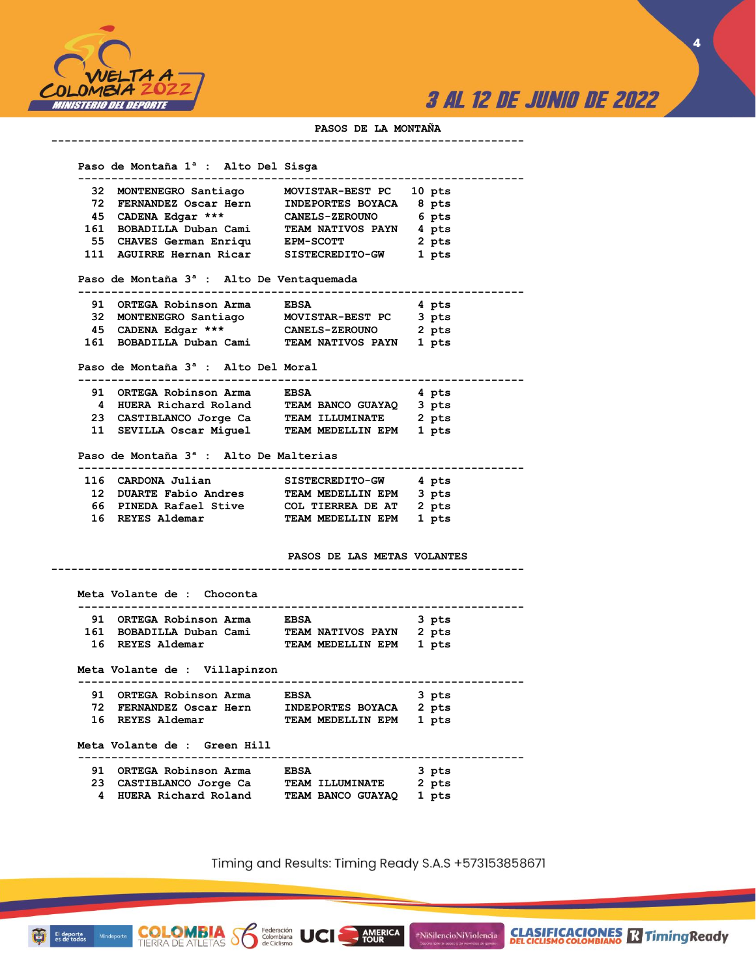

**4**

#### **PASOS DE LA MONTAÑA**

 **Paso de Montaña 1ª : Alto Del Sisga ------------------------------------------------------------------- 32 MONTENEGRO Santiago MOVISTAR-BEST PC 10 pts 72 FERNANDEZ Oscar Hern INDEPORTES BOYACA 8 pts**  CANELS-ZEROUNO 6 pts  **161 BOBADILLA Duban Cami TEAM NATIVOS PAYN 4 pts 55 CHAVES German Enriqu EPM-SCOTT 2 pts 111 AGUIRRE Hernan Ricar SISTECREDITO-GW 1 pts Paso de Montaña 3ª : Alto De Ventaquemada ------------------------------------------------------------------- 91 ORTEGA Robinson Arma EBSA 4 pts 32 MONTENEGRO Santiago MOVISTAR-BEST PC 3 pts 45 CADENA Edgar \*\*\* CANELS-ZEROUNO 2 pts 161 BOBADILLA Duban Cami TEAM NATIVOS PAYN 1 pts Paso de Montaña 3ª : Alto Del Moral ------------------------------------------------------------------- 91 ORTEGA Robinson Arma EBSA 4 pts** 

**-----------------------------------------------------------------------**

| 4 HUERA Richard Roland  | TEAM BANCO GUAYAO      | 3 pts |
|-------------------------|------------------------|-------|
| 23 CASTIBLANCO Jorge Ca | <b>TEAM ILLUMINATE</b> | 2 pts |
| 11 SEVILLA Oscar Miquel | TEAM MEDELLIN EPM      | 1 pts |

**-----------------------------------------------------------------------**

#### **Paso de Montaña 3ª : Alto De Malterias**

**COLOMBIA**<br>TIERRA DE ATLETAS **Solombiana** 

|  | 116 CARDONA Julian     | <b>SISTECREDITO-GW</b>  | 4 pts |
|--|------------------------|-------------------------|-------|
|  | 12 DUARTE Fabio Andres | TEAM MEDELLIN EPM       | 3 pts |
|  | 66 PINEDA Rafael Stive | COL TIERREA DE AT 2 pts |       |
|  | 16 REYES Aldemar       | TEAM MEDELLIN EPM 1 pts |       |

#### **PASOS DE LAS METAS VOLANTES**

 **Meta Volante de : Choconta ------------------------------------------------------------------- 91 ORTEGA Robinson Arma EBSA 3 pts 161 BOBADILLA Duban Cami TEAM NATIVOS PAYN 2 pts 16 REYES Aldemar TEAM MEDELLIN EPM 1 pts Meta Volante de : Villapinzon ------------------------------------------------------------------- 91 ORTEGA Robinson Arma EBSA 3 pts 72 FERNANDEZ Oscar Hern INDEPORTES BOYACA 2 pts 16 REYES Aldemar TEAM MEDELLIN EPM 1 pts Meta Volante de : Green Hill ------------------------------------------------------------------- 91 ORTEGA Robinson Arma BBSA 23 CASTIBLANCO Jorge Ca TEAM ILLUMINATE 2 pts 4 HUERA Richard Roland TEAM BANCO GUAYAQ 1 pts** 

Timing and Results: Timing Ready S.A.S +573153858671

AMERICA

#NiSilencioNiViolencia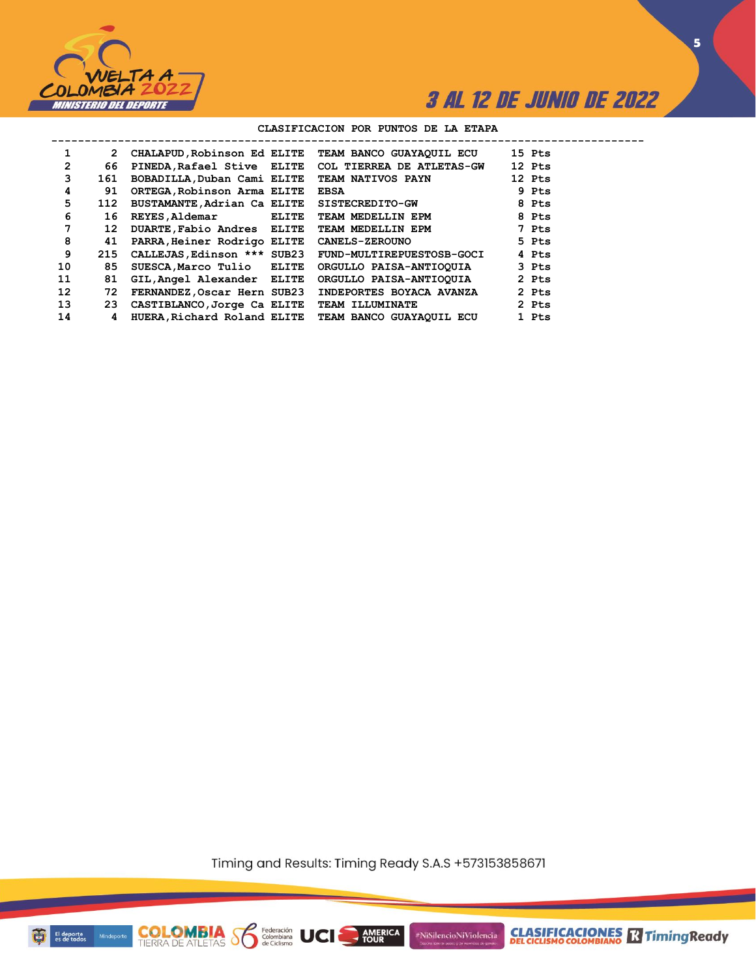

**5**

#### **CLASIFICACION POR PUNTOS DE LA ETAPA**

| 1              | 2               |                                             | CHALAPUD, Robinson Ed ELITE TEAM BANCO GUAYAQUIL ECU      |                                                                                                                                                                                                                                | 15 Pts |
|----------------|-----------------|---------------------------------------------|-----------------------------------------------------------|--------------------------------------------------------------------------------------------------------------------------------------------------------------------------------------------------------------------------------|--------|
| $\overline{2}$ | 66              |                                             | PINEDA, Rafael Stive ELITE COL TIERREA DE ATLETAS-GW      |                                                                                                                                                                                                                                | 12 Pts |
| 3              | 161             | BOBADILLA, Duban Cami ELITE                 | <b>TEAM NATIVOS PAYN</b>                                  |                                                                                                                                                                                                                                | 12 Pts |
| 4              | 91              | ORTEGA, Robinson Arma ELITE                 | <b>EBSA</b>                                               |                                                                                                                                                                                                                                | 9 Pts  |
| 5              | 112             | BUSTAMANTE, Adrian Ca ELITE SISTECREDITO-GW |                                                           | and the Second Second Second Second Second Second Second Second Second Second Second Second Second Second Second Second Second Second Second Second Second Second Second Second Second Second Second Second Second Second Seco |        |
| 6              | 16              | REYES, Aldemar ELITE                        | TEAM MEDELLIN EPM                                         |                                                                                                                                                                                                                                | 8 Pts  |
| 7              | 12 <sup>1</sup> | DUARTE, Fabio Andres ELITE                  | TEAM MEDELLIN EPM                                         | 2. The Prince of the Prince of the Prince of the Prince of the Prince of the Prince of the Prince of the Prince of the Prince of the Prince of the Prince of the Prince of the Prince of the Prince of the Prince of the Princ |        |
| 8              | 41              | PARRA, Heiner Rodrigo ELITE CANELS-ZEROUNO  |                                                           |                                                                                                                                                                                                                                | 5 Pts  |
| 9              |                 |                                             | 215 CALLEJAS, Edinson *** SUB23 FUND-MULTIREPUESTOSB-GOCI |                                                                                                                                                                                                                                | 4 Pts  |
| 10             | 85              | SUESCA, Marco Tulio ELITE                   | ORGULLO PAISA-ANTIOQUIA                                   |                                                                                                                                                                                                                                | 3 Pts  |
| 11             | 81              | GIL, Angel Alexander ELITE                  | ORGULLO PAISA-ANTIOQUIA                                   |                                                                                                                                                                                                                                | 2 Pts  |
| 12             | 72              | FERNANDEZ, Oscar Hern SUB23                 | INDEPORTES BOYACA AVANZA                                  |                                                                                                                                                                                                                                | 2 Pts  |
| 13             | 23              | CASTIBLANCO, Jorge Ca ELITE                 | <b>TEAM ILLUMINATE</b>                                    |                                                                                                                                                                                                                                | 2 Pts  |
| 14             | 4               |                                             | HUERA, Richard Roland ELITE TEAM BANCO GUAYAQUIL ECU      |                                                                                                                                                                                                                                | 1 Pts  |
|                |                 |                                             |                                                           |                                                                                                                                                                                                                                |        |

Timing and Results: Timing Ready S.A.S +573153858671

AMERICA

**UCI** 

#NiSilencioNiViolencia



**COLOMBIA**<br>TIERRA DE ATLETAS **S** a Ciclismo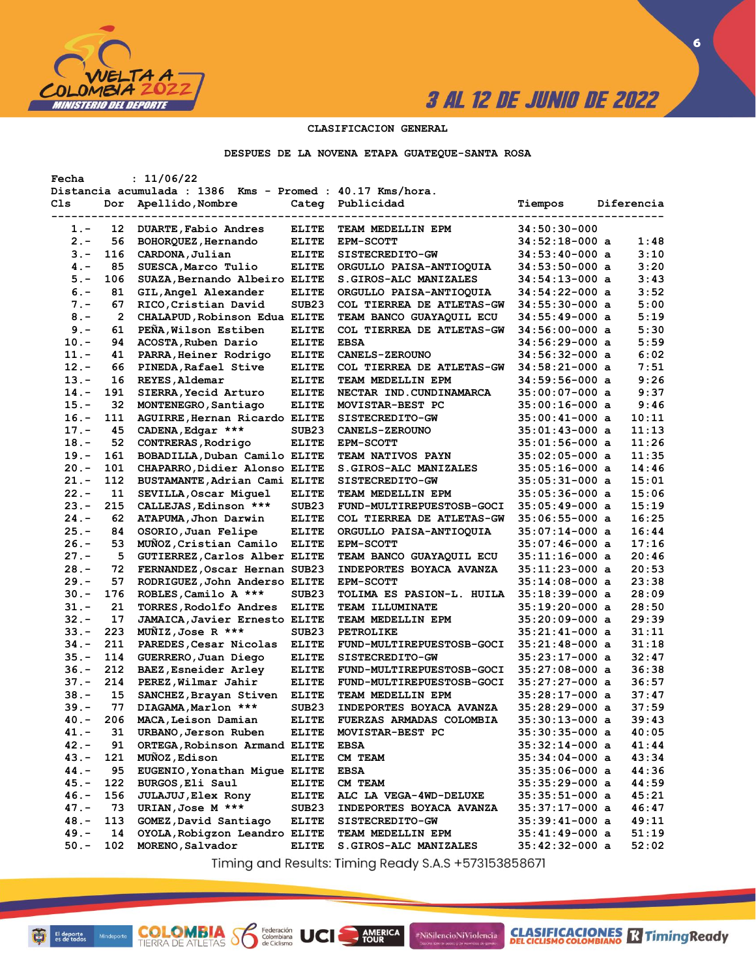

**CLASIFICACIONES R** Timing Ready

**6**

#### **CLASIFICACION GENERAL**

#### **DESPUES DE LA NOVENA ETAPA GUATEQUE-SANTA ROSA**

| Fecha   |                | : 11/06/22                                                |                   |                                 |                  |            |
|---------|----------------|-----------------------------------------------------------|-------------------|---------------------------------|------------------|------------|
|         |                | Distancia acumulada : 1386 Kms - Promed : 40.17 Kms/hora. |                   |                                 |                  |            |
| Cls     | Dor            | Apellido, Nombre                                          | Categ             | Publicidad                      | Tiempos          | Diferencia |
|         |                |                                                           |                   |                                 |                  |            |
| 1.-     | 12             | DUARTE, Fabio Andres                                      | <b>ELITE</b>      | TEAM MEDELLIN EPM               | $34:50:30-000$   |            |
| $2 -$   | 56             | BOHORQUEZ, Hernando                                       | <b>ELITE</b>      | <b>EPM-SCOTT</b>                | $34:52:18-000$ a | 1:48       |
| $3 -$   | 116            | CARDONA, Julian                                           | <b>ELITE</b>      | SISTECREDITO-GW                 | $34:53:40-000$ a | 3:10       |
| $4 -$   | 85             | SUESCA, Marco Tulio                                       | <b>ELITE</b>      | ORGULLO PAISA-ANTIOQUIA         | $34:53:50-000$ a | 3:20       |
| $5. -$  | 106            | SUAZA, Bernando Albeiro ELITE                             |                   | S.GIROS-ALC MANIZALES           | $34:54:13-000$ a | 3:43       |
| $6. -$  | 81             | GIL, Angel Alexander                                      | <b>ELITE</b>      | ORGULLO PAISA-ANTIOQUIA         | $34:54:22-000$ a | 3:52       |
| $7 -$   | 67             | RICO, Cristian David                                      | SUB <sub>23</sub> | COL TIERREA DE ATLETAS-GW       | $34:55:30-000$ a | 5:00       |
| $8 -$   | $\overline{2}$ | CHALAPUD, Robinson Edua ELITE                             |                   | TEAM BANCO GUAYAQUIL ECU        | $34:55:49-000$ a | 5:19       |
| $9 -$   | 61             | PEÑA, Wilson Estiben                                      | <b>ELITE</b>      | COL TIERREA DE ATLETAS-GW       | $34:56:00-000$ a | 5:30       |
| $10. -$ | 94             | ACOSTA, Ruben Dario                                       | <b>ELITE</b>      | <b>EBSA</b>                     | $34:56:29-000$ a | 5:59       |
| $11. -$ | 41             | PARRA, Heiner Rodrigo                                     | <b>ELITE</b>      | <b>CANELS-ZEROUNO</b>           | $34:56:32-000$ a | 6:02       |
| $12 -$  | 66             | PINEDA, Rafael Stive                                      | <b>ELITE</b>      | COL TIERREA DE ATLETAS-GW       | $34:58:21-000$ a | 7:51       |
| $13 -$  | 16             | REYES, Aldemar                                            | <b>ELITE</b>      | TEAM MEDELLIN EPM               | $34:59:56-000$ a | 9:26       |
| $14. -$ | 191            | SIERRA, Yecid Arturo                                      | <b>ELITE</b>      | NECTAR IND. CUNDINAMARCA        | $35:00:07-000$ a | 9:37       |
| $15. -$ | 32             | MONTENEGRO, Santiago                                      | <b>ELITE</b>      | MOVISTAR-BEST PC                | $35:00:16-000$ a | 9:46       |
| $16. -$ | 111            | AGUIRRE, Hernan Ricardo ELITE                             |                   | SISTECREDITO-GW                 | $35:00:41-000$ a | 10:11      |
| $17. -$ | 45             | CADENA, Edgar ***                                         | SUB <sub>23</sub> | <b>CANELS-ZEROUNO</b>           | $35:01:43-000$ a | 11:13      |
| $18. -$ | 52             | CONTRERAS, Rodrigo                                        | <b>ELITE</b>      | <b>EPM-SCOTT</b>                | $35:01:56-000$ a | 11:26      |
| $19. -$ | 161            | BOBADILLA, Duban Camilo ELITE                             |                   | <b>TEAM NATIVOS PAYN</b>        | $35:02:05-000$ a | 11:35      |
| $20 -$  | 101            | CHAPARRO, Didier Alonso ELITE                             |                   | S.GIROS-ALC MANIZALES           | $35:05:16-000$ a | 14:46      |
| $21. -$ | 112            | BUSTAMANTE, Adrian Cami ELITE                             |                   | SISTECREDITO-GW                 | $35:05:31-000$ a | 15:01      |
| $22 -$  | 11             | SEVILLA, Oscar Miquel                                     | <b>ELITE</b>      | TEAM MEDELLIN EPM               | $35:05:36-000$ a | 15:06      |
| $23 -$  | 215            | CALLEJAS, Edinson ***                                     | SUB <sub>23</sub> | FUND-MULTIREPUESTOSB-GOCI       | $35:05:49-000$ a | 15:19      |
| $24. -$ | 62             | ATAPUMA, Jhon Darwin                                      | <b>ELITE</b>      | COL TIERREA DE ATLETAS-GW       | 35:06:55-000 a   | 16:25      |
| $25. -$ | 84             | OSORIO, Juan Felipe                                       | <b>ELITE</b>      | ORGULLO PAISA-ANTIOQUIA         | $35:07:14-000$ a | 16:44      |
| $26. -$ | 53             | MUÑOZ, Cristian Camilo                                    | <b>ELITE</b>      | <b>EPM-SCOTT</b>                | $35:07:46-000$ a | 17:16      |
| $27 -$  | 5              | GUTIERREZ, Carlos Alber ELITE                             |                   |                                 |                  | 20:46      |
| $28 -$  |                |                                                           |                   | TEAM BANCO GUAYAQUIL ECU        | $35:11:16-000$ a | 20:53      |
|         | 72             | FERNANDEZ, Oscar Hernan SUB23                             |                   | INDEPORTES BOYACA AVANZA        | $35:11:23-000$ a |            |
| $29. -$ | 57             | RODRIGUEZ, John Anderso ELITE                             |                   | <b>EPM-SCOTT</b>                | $35:14:08-000$ a | 23:38      |
| $30 -$  | 176            | ROBLES, Camilo A ***                                      | SUB <sub>23</sub> | TOLIMA ES PASION-L. HUILA       | $35:18:39-000$ a | 28:09      |
| $31 -$  | 21             | TORRES, Rodolfo Andres                                    | <b>ELITE</b>      | <b>TEAM ILLUMINATE</b>          | $35:19:20-000$ a | 28:50      |
| $32 -$  | 17             | JAMAICA, Javier Ernesto ELITE                             |                   | TEAM MEDELLIN EPM               | $35:20:09-000$ a | 29:39      |
| $33 -$  | 223            | MUNIZ, Jose R ***                                         | SUB <sub>23</sub> | <b>PETROLIKE</b>                | $35:21:41-000$ a | 31:11      |
| $34. -$ | 211            | PAREDES, Cesar Nicolas                                    | <b>ELITE</b>      | FUND-MULTIREPUESTOSB-GOCI       | $35:21:48-000$ a | 31:18      |
| $35. -$ | 114            | GUERRERO, Juan Diego                                      | <b>ELITE</b>      | <b>SISTECREDITO-GW</b>          | $35:23:17-000$ a | 32:47      |
| $36. -$ | 212            | BAEZ, Esneider Arley                                      | <b>ELITE</b>      | FUND-MULTIREPUESTOSB-GOCI       | $35:27:08-000$ a | 36:38      |
| $37. -$ | 214            | PEREZ, Wilmar Jahir                                       | <b>ELITE</b>      | FUND-MULTIREPUESTOSB-GOCI       | $35:27:27-000$ a | 36:57      |
| $38 -$  | 15             | SANCHEZ, Brayan Stiven                                    | <b>ELITE</b>      | TEAM MEDELLIN EPM               | $35:28:17-000$ a | 37:47      |
| 39.-    | 77             | DIAGAMA, Marlon ***                                       | SUB <sub>23</sub> | <b>INDEPORTES BOYACA AVANZA</b> | $35:28:29-000$ a | 37:59      |
| $40 -$  | 206            | MACA, Leison Damian                                       | <b>ELITE</b>      | <b>FUERZAS ARMADAS COLOMBIA</b> | $35:30:13-000$ a | 39:43      |
| $41. -$ | 31             | URBANO, Jerson Ruben                                      | <b>ELITE</b>      | MOVISTAR-BEST PC                | $35:30:35-000$ a | 40:05      |
| $42. -$ | 91             | ORTEGA, Robinson Armand ELITE                             |                   | <b>EBSA</b>                     | $35:32:14-000$ a | 41:44      |
| $43. -$ | 121            | MUÑOZ, Edison                                             | <b>ELITE</b>      | <b>CM TEAM</b>                  | $35:34:04-000$ a | 43:34      |
| $44. -$ | 95             | EUGENIO, Yonathan Migue ELITE                             |                   | <b>EBSA</b>                     | $35:35:06-000$ a | 44:36      |
| 45.-    | 122            | BURGOS, Eli Saul                                          | <b>ELITE</b>      | CM TEAM                         | $35:35:29-000$ a | 44:59      |
| $46. -$ | 156            | <b>JULAJUJ</b> , Elex Rony                                | <b>ELITE</b>      | ALC LA VEGA-4WD-DELUXE          | $35:35:51-000$ a | 45:21      |
| $47. -$ | 73             | URIAN, Jose M ***                                         | SUB <sub>23</sub> | INDEPORTES BOYACA AVANZA        | $35:37:17-000$ a | 46:47      |
| $48. -$ | 113            | GOMEZ, David Santiago                                     | <b>ELITE</b>      | <b>SISTECREDITO-GW</b>          | $35:39:41-000$ a | 49:11      |
| $49. -$ | 14             | OYOLA, Robigzon Leandro ELITE                             |                   | TEAM MEDELLIN EPM               | $35:41:49-000$ a | 51:19      |
| $50. -$ | 102            | MORENO, Salvador                                          | <b>ELITE</b>      | S.GIROS-ALC MANIZALES           | $35:42:32-000$ a | 52:02      |

Timing and Results: Timing Ready S.A.S +573153858671

AMERICA

#NiSilencioNiViolencia

**COLOMBIA S6** 

Federación<br>Colombiana<br>de Ciclismo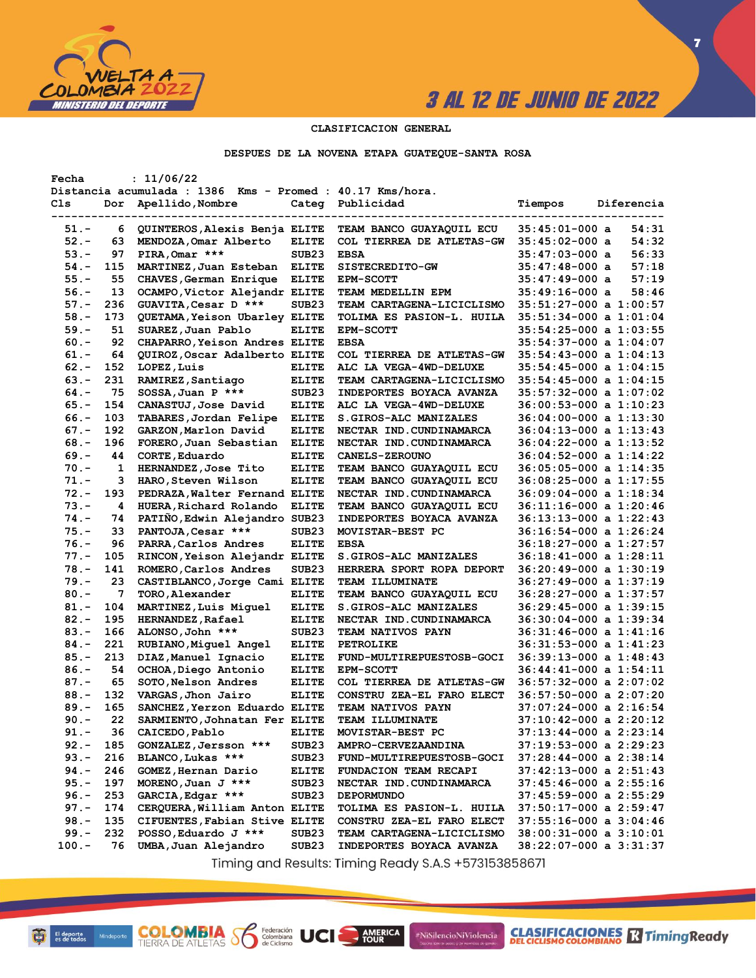

**7**

### **CLASIFICACION GENERAL**

#### **DESPUES DE LA NOVENA ETAPA GUATEQUE-SANTA ROSA**

| Fecha    |     | : 11/06/22                                                |                   |                                  |                            |
|----------|-----|-----------------------------------------------------------|-------------------|----------------------------------|----------------------------|
|          |     | Distancia acumulada : 1386 Kms - Promed : 40.17 Kms/hora. |                   |                                  |                            |
| Cls      | Dor | Apellido, Nombre                                          | Categ             | Publicidad                       | Tiempos<br>Diferencia      |
|          |     |                                                           |                   |                                  |                            |
| $51. -$  | 6   | QUINTEROS, Alexis Benja ELITE                             |                   | TEAM BANCO GUAYAQUIL ECU         | $35:45:01-000$ a<br>54:31  |
| $52 -$   | 63  | MENDOZA, Omar Alberto                                     | <b>ELITE</b>      | COL TIERREA DE ATLETAS-GW        | 54:32<br>$35:45:02-000$ a  |
| $53. -$  | 97  | PIRA, Omar ***                                            | SUB <sub>23</sub> | <b>EBSA</b>                      | 56:33<br>$35:47:03-000$ a  |
| $54. -$  | 115 | MARTINEZ, Juan Esteban                                    | <b>ELITE</b>      | SISTECREDITO-GW                  | 57:18<br>$35:47:48-000$ a  |
| $55. -$  | 55  | CHAVES, German Enrique                                    | <b>ELITE</b>      | <b>EPM-SCOTT</b>                 | 57:19<br>35:47:49-000 a    |
| $56. -$  | 13  | OCAMPO, Victor Alejandr ELITE                             |                   | TEAM MEDELLIN EPM                | 58:46<br>35:49:16-000 a    |
| $57. -$  | 236 | GUAVITA, Cesar D ***                                      | SUB <sub>23</sub> | TEAM CARTAGENA-LICICLISMO        | 35:51:27-000 a 1:00:57     |
| $58. -$  | 173 | <b>OUETAMA, Yeison Ubarley ELITE</b>                      |                   | TOLIMA ES PASION-L. HUILA        | $35:51:34-000$ a $1:01:04$ |
| $59. -$  | 51  | SUAREZ, Juan Pablo                                        | <b>ELITE</b>      | <b>EPM-SCOTT</b>                 | 35:54:25-000 a 1:03:55     |
| $60 -$   | 92  | CHAPARRO, Yeison Andres ELITE                             |                   | <b>EBSA</b>                      | $35:54:37-000$ a $1:04:07$ |
| $61. -$  | 64  | QUIROZ, Oscar Adalberto ELITE                             |                   | COL TIERREA DE ATLETAS-GW        | 35:54:43-000 a 1:04:13     |
| $62 -$   | 152 | LOPEZ, Luis                                               | <b>ELITE</b>      | ALC LA VEGA-4WD-DELUXE           | 35:54:45-000 a 1:04:15     |
|          | 231 |                                                           |                   |                                  |                            |
| $63 -$   |     | RAMIREZ, Santiago                                         | <b>ELITE</b>      | TEAM CARTAGENA-LICICLISMO        | $35:54:45-000$ a $1:04:15$ |
| $64. -$  | 75  | SOSSA, Juan P ***                                         | SUB <sub>23</sub> | INDEPORTES BOYACA AVANZA         | 35:57:32-000 a 1:07:02     |
| $65. -$  | 154 | CANASTUJ, Jose David                                      | <b>ELITE</b>      | ALC LA VEGA-4WD-DELUXE           | 36:00:53-000 a 1:10:23     |
| $66. -$  | 103 | TABARES, Jordan Felipe                                    | <b>ELITE</b>      | S.GIROS-ALC MANIZALES            | 36:04:00-000 a 1:13:30     |
| $67. -$  | 192 | GARZON, Marlon David                                      | <b>ELITE</b>      | NECTAR IND. CUNDINAMARCA         | $36:04:13-000$ a $1:13:43$ |
| $68 -$   | 196 | FORERO, Juan Sebastian                                    | <b>ELITE</b>      | NECTAR IND. CUNDINAMARCA         | 36:04:22-000 a 1:13:52     |
| $69. -$  | 44  | CORTE, Eduardo                                            | <b>ELITE</b>      | <b>CANELS-ZEROUNO</b>            | 36:04:52-000 a 1:14:22     |
| $70. -$  | 1   | HERNANDEZ, Jose Tito                                      | <b>ELITE</b>      | TEAM BANCO GUAYAQUIL ECU         | 36:05:05-000 a 1:14:35     |
| $71. -$  | з   | HARO, Steven Wilson                                       | <b>ELITE</b>      | TEAM BANCO GUAYAQUIL ECU         | 36:08:25-000 a 1:17:55     |
| $72 -$   | 193 | PEDRAZA, Walter Fernand ELITE                             |                   | NECTAR IND. CUNDINAMARCA         | 36:09:04-000 a 1:18:34     |
| $73. -$  | 4   | HUERA, Richard Rolando                                    | <b>ELITE</b>      | TEAM BANCO GUAYAQUIL ECU         | 36:11:16-000 a 1:20:46     |
| $74. -$  | 74  | PATIÑO, Edwin Alejandro SUB23                             |                   | INDEPORTES BOYACA AVANZA         | 36:13:13-000 a 1:22:43     |
| $75. -$  | 33  | PANTOJA, Cesar ***                                        | SUB <sub>23</sub> | MOVISTAR-BEST PC                 | 36:16:54-000 a 1:26:24     |
| $76. -$  | 96  | PARRA, Carlos Andres                                      | <b>ELITE</b>      | <b>EBSA</b>                      | 36:18:27-000 a 1:27:57     |
| $77. -$  | 105 | RINCON, Yeison Alejandr ELITE                             |                   | S.GIROS-ALC MANIZALES            | 36:18:41-000 a 1:28:11     |
| $78. -$  | 141 | ROMERO, Carlos Andres                                     | SUB <sub>23</sub> | HERRERA SPORT ROPA DEPORT        | 36:20:49-000 a 1:30:19     |
| $79. -$  | 23  | CASTIBLANCO, Jorge Cami ELITE                             |                   | TEAM ILLUMINATE                  | 36:27:49-000 a 1:37:19     |
| $80. -$  | 7   | TORO, Alexander                                           | <b>ELITE</b>      | TEAM BANCO GUAYAQUIL ECU         | 36:28:27-000 a 1:37:57     |
| $81. -$  | 104 | MARTINEZ, Luis Miquel                                     | <b>ELITE</b>      | S.GIROS-ALC MANIZALES            | 36:29:45-000 a 1:39:15     |
| $82 -$   | 195 | <b>HERNANDEZ, Rafael</b>                                  | <b>ELITE</b>      | NECTAR IND.CUNDINAMARCA          | 36:30:04-000 a 1:39:34     |
| $83 -$   | 166 | ALONSO, John ***                                          | SUB <sub>23</sub> | <b>TEAM NATIVOS PAYN</b>         | 36:31:46-000 a 1:41:16     |
| $84. -$  | 221 | RUBIANO, Miguel Angel                                     | <b>ELITE</b>      | <b>PETROLIKE</b>                 | 36:31:53-000 a 1:41:23     |
|          | 213 |                                                           |                   |                                  |                            |
| $85. -$  |     | DIAZ, Manuel Ignacio                                      | <b>ELITE</b>      | FUND-MULTIREPUESTOSB-GOCI        | 36:39:13-000 a 1:48:43     |
| $86. -$  | 54  | OCHOA, Diego Antonio                                      | <b>ELITE</b>      | <b>EPM-SCOTT</b>                 | 36:44:41-000 a 1:54:11     |
| $87. -$  | 65  | SOTO, Nelson Andres                                       | <b>ELITE</b>      | COL TIERREA DE ATLETAS-GW        | $36:57:32-000$ a $2:07:02$ |
| $88. -$  | 132 | VARGAS, Jhon Jairo                                        | <b>ELITE</b>      | CONSTRU ZEA-EL FARO ELECT        | 36:57:50-000 a 2:07:20     |
| $89. -$  | 165 | SANCHEZ, Yerzon Eduardo ELITE                             |                   | TEAM NATIVOS PAYN                | 37:07:24-000 a 2:16:54     |
| $90 -$   | 22  | SARMIENTO, Johnatan Fer ELITE                             |                   | TEAM ILLUMINATE                  | 37:10:42-000 a 2:20:12     |
| $91. -$  | 36  | CAICEDO, Pablo                                            | ELITE             | MOVISTAR-BEST PC                 | 37:13:44-000 a 2:23:14     |
| $92 -$   | 185 | GONZALEZ, Jersson ***                                     | SUB <sub>23</sub> | <b>AMPRO-CERVEZAANDINA</b>       | 37:19:53-000 a 2:29:23     |
| $93 -$   | 216 | BLANCO, Lukas ***                                         | SUB <sub>23</sub> | <b>FUND-MULTIREPUESTOSB-GOCI</b> | 37:28:44-000 a 2:38:14     |
| 94.-     | 246 | GOMEZ, Hernan Dario                                       | <b>ELITE</b>      | FUNDACION TEAM RECAPI            | 37:42:13-000 a 2:51:43     |
| $95. -$  | 197 | MORENO, Juan J ***                                        | SUB <sub>23</sub> | NECTAR IND. CUNDINAMARCA         | 37:45:46-000 a 2:55:16     |
| $96. -$  | 253 | GARCIA, Edgar ***                                         | SUB <sub>23</sub> | <b>DEPORMUNDO</b>                | 37:45:59-000 a 2:55:29     |
| $97. -$  | 174 | CERQUERA, William Anton ELITE                             |                   | TOLIMA ES PASION-L. HUILA        | $37:50:17-000$ a $2:59:47$ |
| $98. -$  | 135 | CIFUENTES, Fabian Stive ELITE                             |                   | CONSTRU ZEA-EL FARO ELECT        | 37:55:16-000 a 3:04:46     |
| $99. -$  | 232 | POSSO, Eduardo J ***                                      | SUB23             | TEAM CARTAGENA-LICICLISMO        | $38:00:31-000$ a $3:10:01$ |
| $100. -$ | 76  | UMBA, Juan Alejandro                                      | SUB <sub>23</sub> | INDEPORTES BOYACA AVANZA         | 38:22:07-000 a 3:31:37     |
|          |     |                                                           |                   |                                  |                            |

Timing and Results: Timing Ready S.A.S +573153858671

AMERICA

#NiSilencioNiViolencia

**COLOMBIA S6** 

Federación<br>Colombiana<br>de Ciclismo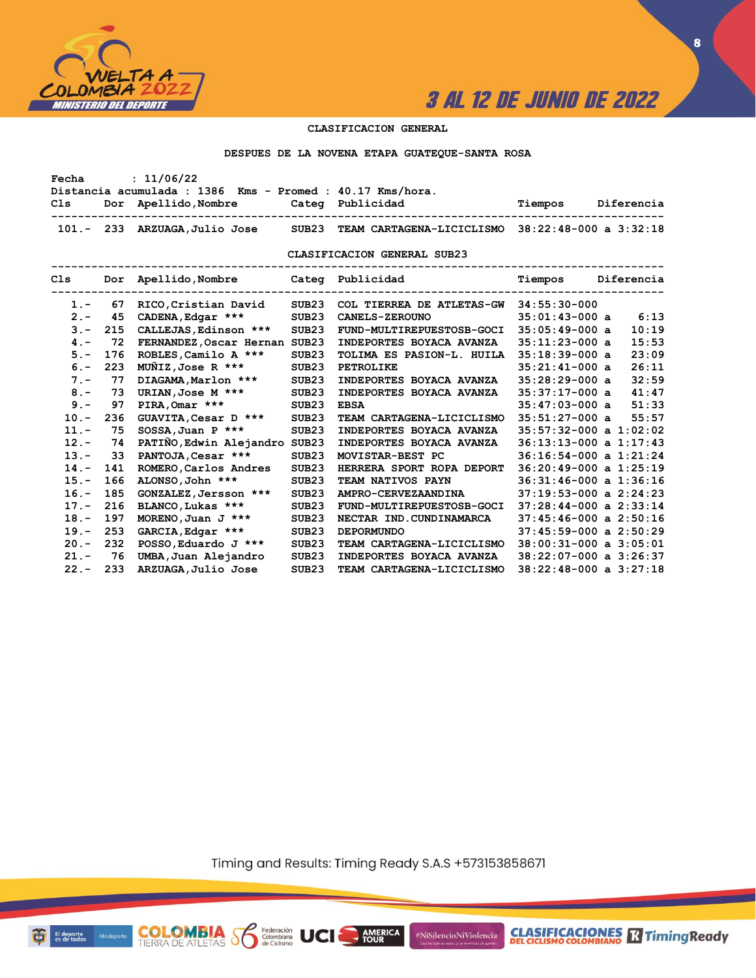

#### **CLASIFICACION GENERAL**

#### **DESPUES DE LA NOVENA ETAPA GUATEQUE-SANTA ROSA**

| Fecha   |     | : 11/06/22                                                        |                   |                                                  |                            |  |
|---------|-----|-------------------------------------------------------------------|-------------------|--------------------------------------------------|----------------------------|--|
|         |     | Distancia acumulada : 1386 Kms - Promed : 40.17 Kms/hora.         |                   |                                                  |                            |  |
| Cls     |     | Dor Apellido, Nombre Categ Publicidad<br>------------------------ |                   |                                                  | Tiempos Diferencia         |  |
|         |     | 101.- 233 ARZUAGA, Julio Jose SUB23                               |                   | TEAM CARTAGENA-LICICLISMO 38:22:48-000 a 3:32:18 |                            |  |
|         |     |                                                                   |                   | CLASIFICACION GENERAL SUB23                      |                            |  |
|         |     |                                                                   |                   |                                                  |                            |  |
| $1. -$  | 67  | RICO, Cristian David                                              | SUB23             | COL TIERREA DE ATLETAS-GW 34:55:30-000           |                            |  |
| $2 -$   | 45  | CADENA, Edgar ***                                                 | SUB <sub>23</sub> | <b>CANELS-ZEROUNO</b>                            | 6:13<br>$35:01:43-000$ a   |  |
| $3 -$   | 215 | CALLEJAS, Edinson ***                                             | SUB <sub>23</sub> | FUND-MULTIREPUESTOSB-GOCI                        | 10:19<br>$35:05:49-000$ a  |  |
| $4 -$   | 72  | FERNANDEZ, Oscar Hernan SUB23                                     |                   | INDEPORTES BOYACA AVANZA                         | 15:53<br>$35:11:23-000$ a  |  |
| $5. -$  | 176 | ROBLES, Camilo A ***                                              | SUB <sub>23</sub> | TOLIMA ES PASION-L. HUILA                        | 23:09<br>$35:18:39-000$ a  |  |
| $6. -$  | 223 | MUÑIZ,Jose R ***                                                  | SUB <sub>23</sub> | PETROLIKE                                        | 26:11<br>$35:21:41-000$ a  |  |
| $7 -$   | 77  | DIAGAMA, Marlon ***                                               | SUB23             | INDEPORTES BOYACA AVANZA                         | 32:59<br>$35:28:29-000$ a  |  |
| $8 -$   | 73  | URIAN, Jose M ***                                                 | SUB <sub>23</sub> | INDEPORTES BOYACA AVANZA                         | 41:47<br>$35:37:17-000$ a  |  |
| $9 -$   | 97  | $PIRA, Omar$ ***                                                  | SUB <sub>23</sub> | <b>EBSA</b>                                      | 51:33<br>$35:47:03-000$ a  |  |
| $10. -$ | 236 | GUAVITA, Cesar D ***                                              | SUB23             | TEAM CARTAGENA-LICICLISMO                        | 55:57<br>$35:51:27-000$ a  |  |
| $11. -$ | 75  | $SOSSA$ , Juan P ***                                              | SUB <sub>23</sub> | INDEPORTES BOYACA AVANZA                         | $35:57:32-000$ a $1:02:02$ |  |
| $12 -$  | 74  | PATIÑO, Edwin Alejandro SUB23                                     |                   | INDEPORTES BOYACA AVANZA                         | $36:13:13-000$ a $1:17:43$ |  |
| $13 -$  | 33  | PANTOJA, Cesar ***                                                | SUB <sub>23</sub> | MOVISTAR-BEST PC                                 | $36:16:54-000$ a $1:21:24$ |  |
| $14. -$ | 141 | ROMERO, Carlos Andres                                             | SUB <sub>23</sub> | HERRERA SPORT ROPA DEPORT                        | $36:20:49-000$ a $1:25:19$ |  |
| $15. -$ | 166 | ALONSO, John ***                                                  | SUB23             | TEAM NATIVOS PAYN                                | $36:31:46-000$ a $1:36:16$ |  |
| $16. -$ | 185 | GONZALEZ, Jersson ***                                             | SUB <sub>23</sub> | AMPRO-CERVEZAANDINA                              | $37:19:53-000$ a $2:24:23$ |  |
| $17. -$ | 216 | BLANCO, Lukas ***                                                 | SUB <sub>23</sub> | <b>FUND-MULTIREPUESTOSB-GOCI</b>                 | $37:28:44-000$ a $2:33:14$ |  |
| $18. -$ | 197 | MORENO, Juan J ***                                                | SUB <sub>23</sub> | NECTAR IND.CUNDINAMARCA                          | $37:45:46-000$ a $2:50:16$ |  |
| $19. -$ | 253 | GARCIA, Edgar ***                                                 | SUB <sub>23</sub> | <b>DEPORMUNDO</b>                                | $37:45:59-000$ a $2:50:29$ |  |
| $20 -$  | 232 | POSSO, Eduardo J ***                                              | SUB <sub>23</sub> | TEAM CARTAGENA-LICICLISMO                        | $38:00:31-000$ a $3:05:01$ |  |
| $21 -$  | 76  | UMBA, Juan Alejandro                                              | SUB <sub>23</sub> | INDEPORTES BOYACA AVANZA                         | $38:22:07-000$ a $3:26:37$ |  |
| $22 -$  | 233 | ARZUAGA, Julio Jose                                               | SUB23             | TEAM CARTAGENA-LICICLISMO                        | $38:22:48-000$ a $3:27:18$ |  |

Timing and Results: Timing Ready S.A.S +573153858671

**AMERICA** 

#NiSilencioNiViolencia



**CLASIFICACIONES** TimingReady

**COLOMBIA S6** 

Federación<br>Colombiana<br>de Ciclismo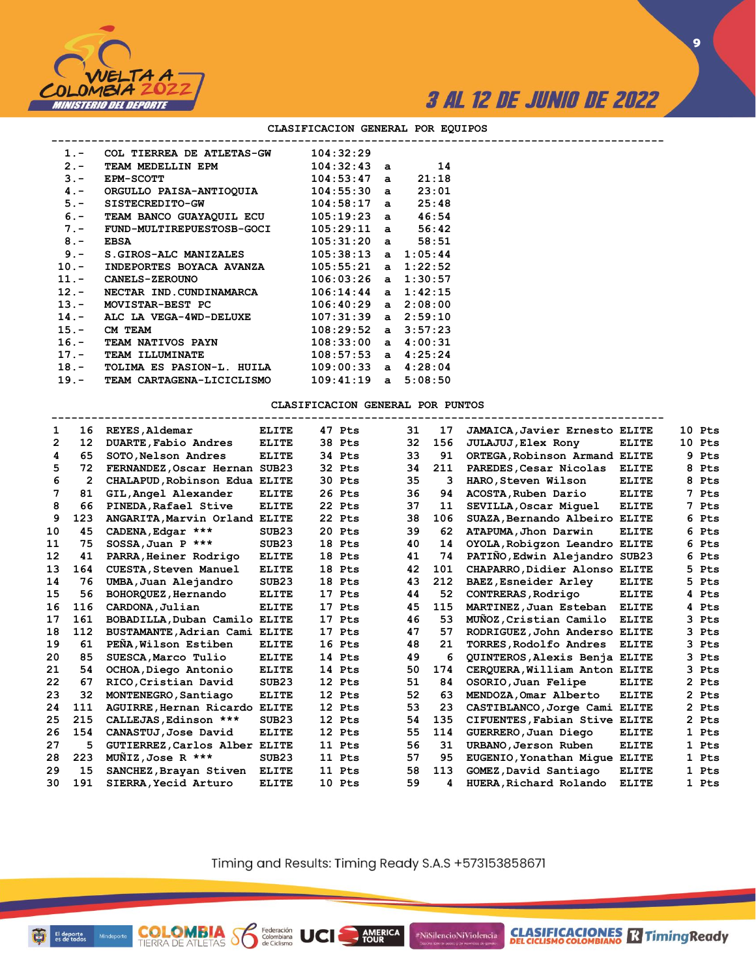

**CLASIFICACIONES** TimingReady

**9**

| $1 -$   | COL TIERREA DE ATLETAS-GW                  | 104:32:29               |       |  |  |
|---------|--------------------------------------------|-------------------------|-------|--|--|
| $2 -$   | TEAM MEDELLIN EPM                          | $104:32:43$ a $14$      |       |  |  |
| $3 -$   | <b>EPM-SCOTT</b>                           | $104:53:47$ a           | 21:18 |  |  |
| $4 -$   | ORGULLO PAISA-ANTIOQUIA                    | 104:55:30 a             | 23:01 |  |  |
| $5. -$  | SISTECREDITO-GW                            | $104:58:17$ a $25:48$   |       |  |  |
| $6. -$  | TEAM BANCO GUAYAQUIL ECU 105:19:23 a 46:54 |                         |       |  |  |
| $7 -$   | FUND-MULTIREPUESTOSB-GOCI                  | $105:29:11$ a $56:42$   |       |  |  |
| $8 -$   | <b>EBSA</b>                                | $105:31:20$ a           | 58:51 |  |  |
| $9 -$   | S.GIROS-ALC MANIZALES                      | $105:38:13$ a $1:05:44$ |       |  |  |
| $10. -$ | INDEPORTES BOYACA AVANZA                   | $105:55:21$ a $1:22:52$ |       |  |  |
|         | 11. - CANELS-ZEROUNO                       | $106:03:26$ a $1:30:57$ |       |  |  |
| $12. -$ | NECTAR IND.CUNDINAMARCA                    | $106:14:44$ a $1:42:15$ |       |  |  |
|         | 13.- MOVISTAR-BEST PC                      | $106:40:29$ a $2:08:00$ |       |  |  |
| $14. -$ | ALC LA VEGA-4WD-DELUXE                     | $107:31:39$ a $2:59:10$ |       |  |  |
| $15. -$ | CM TEAM                                    | $108:29:52$ a $3:57:23$ |       |  |  |
| $16. -$ | <b>TEAM NATIVOS PAYN</b>                   | $108:33:00$ a $4:00:31$ |       |  |  |
| $17. -$ | <b>TEAM ILLUMINATE</b>                     | $108:57:53$ a $4:25:24$ |       |  |  |
| $18. -$ | TOLIMA ES PASION-L. HUILA                  | $109:00:33$ a $4:28:04$ |       |  |  |
|         | 19.- TEAM CARTAGENA-LICICLISMO             | $109:41:19$ a $5:08:50$ |       |  |  |
|         |                                            |                         |       |  |  |

#### **CLASIFICACION GENERAL POR EQUIPOS**

#### **CLASIFICACION GENERAL POR PUNTOS**

| 1                 | 16             | REYES, Aldemar                | <b>ELITE</b>      | 47 Pts | 31 | 17  | <b>JAMAICA, Javier Ernesto ELITE</b> |              |    | 10 Pts     |
|-------------------|----------------|-------------------------------|-------------------|--------|----|-----|--------------------------------------|--------------|----|------------|
| $\overline{2}$    | 12             | DUARTE, Fabio Andres          | <b>ELITE</b>      | 38 Pts | 32 | 156 | <b>JULAJUJ</b> , Elex Rony           | <b>ELITE</b> | 10 | Pts        |
| 4                 | 65             | SOTO, Nelson Andres           | <b>ELITE</b>      | 34 Pts | 33 | 91  | ORTEGA, Robinson Armand              | <b>ELITE</b> | 9  | Pts        |
| 5                 | 72             | FERNANDEZ, Oscar Hernan SUB23 |                   | 32 Pts | 34 | 211 | PAREDES, Cesar Nicolas               | <b>ELITE</b> | 8  | Pts        |
| 6                 | $\overline{2}$ | CHALAPUD, Robinson Edua ELITE |                   | 30 Pts | 35 | 3   | HARO, Steven Wilson                  | <b>ELITE</b> | 8  | Pts        |
| 7                 | 81             | GIL, Angel Alexander          | <b>ELITE</b>      | 26 Pts | 36 | 94  | ACOSTA, Ruben Dario                  | <b>ELITE</b> | 7  | <b>Pts</b> |
| 8                 | 66             | PINEDA, Rafael Stive          | <b>ELITE</b>      | 22 Pts | 37 | 11  | SEVILLA, Oscar Miquel                | <b>ELITE</b> | 7  | Pts        |
| 9                 | 123            | ANGARITA, Marvin Orland ELITE |                   | 22 Pts | 38 | 106 | SUAZA, Bernando Albeiro              | <b>ELITE</b> | 6  | Pts        |
| 10                | 45             | CADENA, Edgar ***             | SUB <sub>23</sub> | 20 Pts | 39 | 62  | ATAPUMA, Jhon Darwin                 | <b>ELITE</b> | 6  | Pts        |
| 11                | 75             | $SOSSA$ , Juan P ***          | SUB23             | 18 Pts | 40 | 14  | OYOLA, Robigzon Leandro ELITE        |              | 6  | Pts        |
| $12 \overline{ }$ | 41             | PARRA, Heiner Rodrigo         | <b>ELITE</b>      | 18 Pts | 41 | 74  | PATIÑO, Edwin Alejandro SUB23        |              | 6  | Pts        |
| 13                | 164            | CUESTA, Steven Manuel         | <b>ELITE</b>      | 18 Pts | 42 | 101 | CHAPARRO, Didier Alonso ELITE        |              | 5  | Pts        |
| 14                | 76             | UMBA, Juan Alejandro          | SUB23             | 18 Pts | 43 | 212 | BAEZ, Esneider Arley                 | <b>ELITE</b> | 5. | Pts        |
| 15                | 56             | BOHORQUEZ, Hernando           | <b>ELITE</b>      | 17 Pts | 44 | 52  | CONTRERAS, Rodrigo                   | <b>ELITE</b> | 4  | Pts        |
| 16                | 116            | CARDONA, Julian               | <b>ELITE</b>      | 17 Pts | 45 | 115 | MARTINEZ, Juan Esteban               | <b>ELITE</b> |    | 4 Pts      |
| 17                | 161            | BOBADILLA, Duban Camilo ELITE |                   | 17 Pts | 46 | 53  | MUNOZ, Cristian Camilo               | <b>ELITE</b> | 3  | Pts        |
| 18                | 112            | BUSTAMANTE, Adrian Cami ELITE |                   | 17 Pts | 47 | 57  | RODRIGUEZ, John Anderso ELITE        |              |    | 3 Pts      |
| 19                | 61             | PEÑA, Wilson Estiben          | <b>ELITE</b>      | 16 Pts | 48 | 21  | TORRES, Rodolfo Andres               | <b>ELITE</b> | 3  | Pts        |
| 20                | 85             | SUESCA, Marco Tulio           | <b>ELITE</b>      | 14 Pts | 49 | 6   | QUINTEROS, Alexis Benja ELITE        |              | 3  | Pts        |
| 21                | 54             | OCHOA, Diego Antonio          | <b>ELITE</b>      | 14 Pts | 50 | 174 | CERQUERA, William Anton ELITE        |              | 3  | Pts        |
| 22                | 67             | RICO, Cristian David          | SUB23             | 12 Pts | 51 | 84  | OSORIO, Juan Felipe                  | <b>ELITE</b> |    | 2 Pts      |
| 23                | 32             | MONTENEGRO, Santiago          | <b>ELITE</b>      | 12 Pts | 52 | 63  | MENDOZA, Omar Alberto                | <b>ELITE</b> |    | 2 Pts      |
| 24                | 111            | AGUIRRE, Hernan Ricardo ELITE |                   | 12 Pts | 53 | 23  | CASTIBLANCO, Jorge Cami ELITE        |              |    | 2 Pts      |
| 25                | 215            | CALLEJAS, Edinson ***         | SUB <sub>23</sub> | 12 Pts | 54 | 135 | CIFUENTES, Fabian Stive ELITE        |              |    | 2 Pts      |
| 26                | 154            | CANASTUJ, Jose David          | <b>ELITE</b>      | 12 Pts | 55 | 114 | GUERRERO, Juan Diego                 | <b>ELITE</b> |    | 1 Pts      |
| 27                | 5              | GUTIERREZ, Carlos Alber ELITE |                   | 11 Pts | 56 | 31  | URBANO, Jerson Ruben                 | <b>ELITE</b> |    | 1 Pts      |
| 28                | 223            | MUNIZ, Jose R ***             | SUB23             | 11 Pts | 57 | 95  | EUGENIO, Yonathan Mique              | <b>ELITE</b> |    | 1 Pts      |
| 29                | 15             | SANCHEZ, Brayan Stiven        | <b>ELITE</b>      | 11 Pts | 58 | 113 | GOMEZ, David Santiago                | <b>ELITE</b> | 1  | Pts        |
| 30                | 191            | SIERRA, Yecid Arturo          | <b>ELITE</b>      | 10 Pts | 59 | 4   | HUERA, Richard Rolando               | <b>ELITE</b> |    | 1 Pts      |
|                   |                |                               |                   |        |    |     |                                      |              |    |            |

Timing and Results: Timing Ready S.A.S +573153858671

**AMERICA** 

#NiSilencioNiViolencia

Mind

**COLOMBIA**<br>TIERRA DE ATLETAS **S** de Ciclismo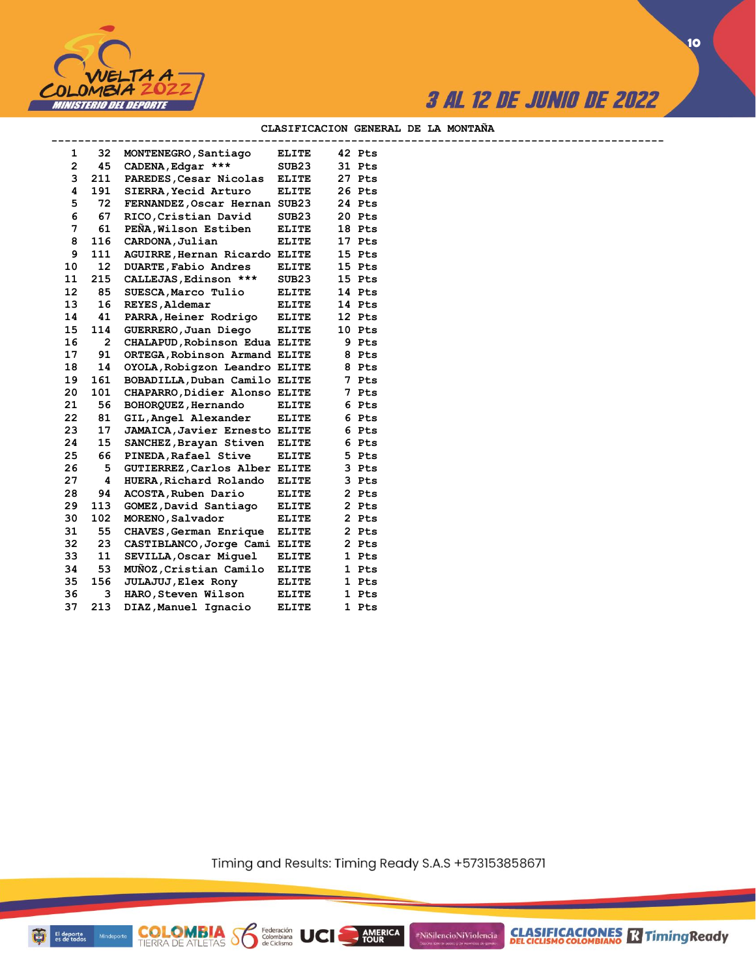



#### **CLASIFICACION GENERAL DE LA MONTAÑA**

| 1                 | 32  | MONTENEGRO, Santiago          | <b>ELITE</b>      | 42 Pts |  |
|-------------------|-----|-------------------------------|-------------------|--------|--|
| $\overline{2}$    | 45  | CADENA, Edgar ***             | SUB <sub>23</sub> | 31 Pts |  |
| 3                 | 211 | PAREDES, Cesar Nicolas        | <b>ELITE</b>      | 27 Pts |  |
| 4                 | 191 | SIERRA, Yecid Arturo          | <b>ELITE</b>      | 26 Pts |  |
| 5                 | 72  | FERNANDEZ, Oscar Hernan SUB23 |                   | 24 Pts |  |
| 6                 | 67  | RICO, Cristian David          | SUB <sub>23</sub> | 20 Pts |  |
| 7                 | 61  | PEÑA, Wilson Estiben          | <b>ELITE</b>      | 18 Pts |  |
| 8                 | 116 | CARDONA, Julian               | <b>ELITE</b>      | 17 Pts |  |
| 9                 | 111 | AGUIRRE, Hernan Ricardo ELITE |                   | 15 Pts |  |
| 10                | 12  | DUARTE, Fabio Andres          | <b>ELITE</b>      | 15 Pts |  |
| 11                | 215 | CALLEJAS, Edinson ***         | SUB <sub>23</sub> | 15 Pts |  |
| $12 \overline{ }$ | 85  | SUESCA, Marco Tulio           | <b>ELITE</b>      | 14 Pts |  |
| 13                | 16  | REYES, Aldemar                | ELITE             | 14 Pts |  |
| 14                | 41  | PARRA, Heiner Rodrigo         | <b>ELITE</b>      | 12 Pts |  |
| 15                | 114 | GUERRERO, Juan Diego          | <b>ELITE</b>      | 10 Pts |  |
| 16                | 2   | CHALAPUD, Robinson Edua ELITE |                   | 9 Pts  |  |
| 17                | 91  | ORTEGA, Robinson Armand ELITE |                   | 8 Pts  |  |
| 18                | 14  | OYOLA, Robigzon Leandro ELITE |                   | 8 Pts  |  |
| 19                | 161 | BOBADILLA, Duban Camilo ELITE |                   | 7 Pts  |  |
| 20                | 101 | CHAPARRO, Didier Alonso ELITE |                   | 7 Pts  |  |
| 21                | 56  | BOHORQUEZ, Hernando           | <b>ELITE</b>      | 6 Pts  |  |
| 22                | 81  | GIL, Angel Alexander          | <b>ELITE</b>      | 6 Pts  |  |
| 23                | 17  | JAMAICA, Javier Ernesto ELITE |                   | 6 Pts  |  |
| 24                | 15  | SANCHEZ, Brayan Stiven ELITE  |                   | 6 Pts  |  |
| 25                | 66  | PINEDA, Rafael Stive          | <b>ELITE</b>      | 5 Pts  |  |
| 26                | 5   | GUTIERREZ, Carlos Alber ELITE |                   | 3 Pts  |  |
| 27                | 4   | HUERA, Richard Rolando        | <b>ELITE</b>      | 3 Pts  |  |
| 28                | 94  | ACOSTA, Ruben Dario           | <b>ELITE</b>      | 2 Pts  |  |
| 29                | 113 | GOMEZ, David Santiago         | ELITE             | 2 Pts  |  |
| 30                | 102 | MORENO, Salvador              | <b>ELITE</b>      | 2 Pts  |  |
| 31                | 55  | CHAVES, German Enrique        | <b>ELITE</b>      | 2 Pts  |  |
| 32                | 23  | CASTIBLANCO, Jorge Cami ELITE |                   | 2 Pts  |  |
| 33                | 11  | SEVILLA, Oscar Miquel         | <b>ELITE</b>      | 1 Pts  |  |
| 34                | 53  | MUNOZ, Cristian Camilo        | <b>ELITE</b>      | 1 Pts  |  |
| 35                | 156 | <b>JULAJUJ, Elex Rony</b>     | <b>ELITE</b>      | 1 Pts  |  |
| 36                | 3   | HARO, Steven Wilson           | <b>ELITE</b>      | 1 Pts  |  |
| 37                | 213 | DIAZ, Manuel Ignacio          | <b>ELITE</b>      | 1 Pts  |  |
|                   |     |                               |                   |        |  |

**COLOMBIA Se Ederación** UCI

Timing and Results: Timing Ready S.A.S +573153858671

AMERICA

#NiSilencioNiViolencia



**10**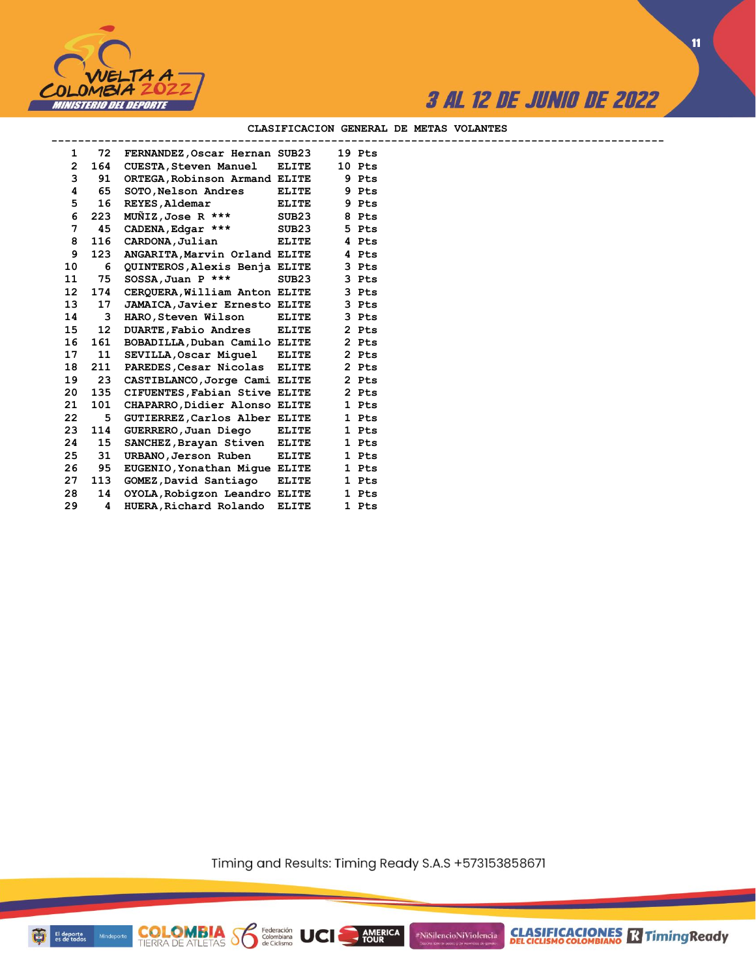

**11**

#### **CLASIFICACION GENERAL DE METAS VOLANTES**

| $\mathbf{1}$    |     | 72 FERNANDEZ, Oscar Hernan SUB23   |              | 19 Pts |  |  |
|-----------------|-----|------------------------------------|--------------|--------|--|--|
| $\overline{2}$  | 164 | CUESTA,Steven Manuel               | <b>ELITE</b> | 10 Pts |  |  |
| 3               | 91  | ORTEGA, Robinson Armand ELITE      |              | 9 Pts  |  |  |
| 4               | 65  | SOTO, Nelson Andres                | <b>ELITE</b> | 9 Pts  |  |  |
| 5               | 16  | REYES, Aldemar                     | <b>ELITE</b> | 9 Pts  |  |  |
| 6               | 223 | $M\ddot{\text{ON}}$ IZ, Jose R *** | SUB23        | 8 Pts  |  |  |
| 7               | 45  | CADENA, Edgar ***                  | SUB23        | 5 Pts  |  |  |
| 8               | 116 | CARDONA, Julian                    | <b>ELITE</b> | 4 Pts  |  |  |
| 9               | 123 | ANGARITA, Marvin Orland ELITE      |              | 4 Pts  |  |  |
| 10              | 6   | QUINTEROS, Alexis Benja ELITE      |              | 3 Pts  |  |  |
| 11              | 75  | $SOSSA$ , Juan P ***               | SUB23        | 3 Pts  |  |  |
| 12 <sup>°</sup> | 174 | CERQUERA, William Anton ELITE      |              | 3 Pts  |  |  |
| 13              | 17  | JAMAICA, Javier Ernesto ELITE      |              | 3 Pts  |  |  |
| 14              | 3   | HARO, Steven Wilson                | <b>ELITE</b> | 3 Pts  |  |  |
| 15              | 12  | DUARTE, Fabio Andres               | <b>ELITE</b> | 2 Pts  |  |  |
| 16              | 161 | BOBADILLA, Duban Camilo ELITE      |              | 2 Pts  |  |  |
| 17              | 11  | SEVILLA, Oscar Miquel ELITE        |              | 2 Pts  |  |  |
| 18              | 211 | PAREDES, Cesar Nicolas ELITE       |              | 2 Pts  |  |  |
| 19              | 23  | CASTIBLANCO, Jorge Cami ELITE      |              | 2 Pts  |  |  |
| 20              | 135 | CIFUENTES, Fabian Stive ELITE      |              | 2 Pts  |  |  |
| 21              | 101 | CHAPARRO, Didier Alonso ELITE      |              | 1 Pts  |  |  |
| 22              | 5   | GUTIERREZ, Carlos Alber ELITE      |              | 1 Pts  |  |  |
| 23              | 114 | GUERRERO,Juan Diego                | <b>ELITE</b> | 1 Pts  |  |  |
| 24              | 15  | SANCHEZ, Brayan Stiven ELITE       |              | 1 Pts  |  |  |
| 25              | 31  | URBANO,Jerson Ruben                | <b>ELITE</b> | 1 Pts  |  |  |
| 26              | 95  | EUGENIO, Yonathan Mique ELITE      |              | 1 Pts  |  |  |
| 27              | 113 | GOMEZ, David Santiago              | <b>ELITE</b> | 1 Pts  |  |  |
| 28              | 14  | OYOLA, Robigzon Leandro ELITE      |              | 1 Pts  |  |  |
| 29              | 4   | HUERA, Richard Rolando             | <b>ELITE</b> | 1 Pts  |  |  |

**COLOMBIA Se Ederación** UCI

Timing and Results: Timing Ready S.A.S +573153858671

AMERICA

#NiSilencioNiViolencia

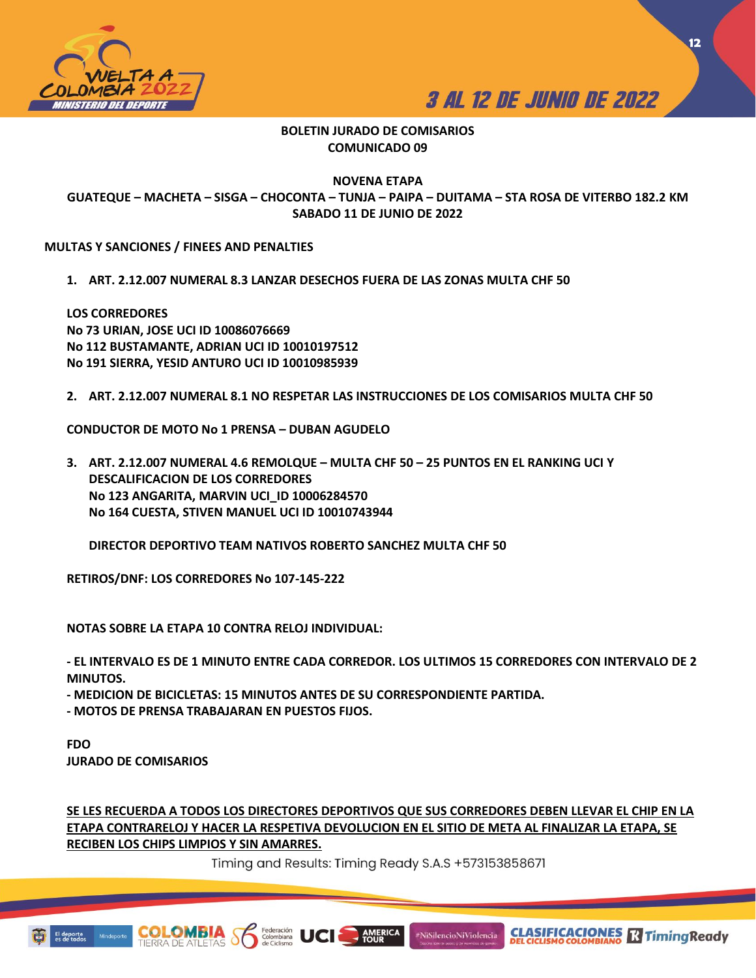



## **BOLETIN JURADO DE COMISARIOS COMUNICADO 09**

**NOVENA ETAPA**

**GUATEQUE – MACHETA – SISGA – CHOCONTA – TUNJA – PAIPA – DUITAMA – STA ROSA DE VITERBO 182.2 KM SABADO 11 DE JUNIO DE 2022**

**MULTAS Y SANCIONES / FINEES AND PENALTIES** 

**1. ART. 2.12.007 NUMERAL 8.3 LANZAR DESECHOS FUERA DE LAS ZONAS MULTA CHF 50** 

**LOS CORREDORES No 73 URIAN, JOSE UCI ID 10086076669 No 112 BUSTAMANTE, ADRIAN UCI ID 10010197512 No 191 SIERRA, YESID ANTURO UCI ID 10010985939**

**2. ART. 2.12.007 NUMERAL 8.1 NO RESPETAR LAS INSTRUCCIONES DE LOS COMISARIOS MULTA CHF 50**

**CONDUCTOR DE MOTO No 1 PRENSA – DUBAN AGUDELO**

**3. ART. 2.12.007 NUMERAL 4.6 REMOLQUE – MULTA CHF 50 – 25 PUNTOS EN EL RANKING UCI Y DESCALIFICACION DE LOS CORREDORES No 123 ANGARITA, MARVIN UCI\_ID 10006284570 No 164 CUESTA, STIVEN MANUEL UCI ID 10010743944**

**DIRECTOR DEPORTIVO TEAM NATIVOS ROBERTO SANCHEZ MULTA CHF 50**

**RETIROS/DNF: LOS CORREDORES No 107-145-222**

**NOTAS SOBRE LA ETAPA 10 CONTRA RELOJ INDIVIDUAL:**

**- EL INTERVALO ES DE 1 MINUTO ENTRE CADA CORREDOR. LOS ULTIMOS 15 CORREDORES CON INTERVALO DE 2 MINUTOS.** 

**- MEDICION DE BICICLETAS: 15 MINUTOS ANTES DE SU CORRESPONDIENTE PARTIDA.** 

**- MOTOS DE PRENSA TRABAJARAN EN PUESTOS FIJOS.** 

**FDO JURADO DE COMISARIOS**

**SE LES RECUERDA A TODOS LOS DIRECTORES DEPORTIVOS QUE SUS CORREDORES DEBEN LLEVAR EL CHIP EN LA ETAPA CONTRARELOJ Y HACER LA RESPETIVA DEVOLUCION EN EL SITIO DE META AL FINALIZAR LA ETAPA, SE RECIBEN LOS CHIPS LIMPIOS Y SIN AMARRES.** 

Timing and Results: Timing Ready S.A.S +573153858671

AMERICA

#NiSilencioNiViolencia

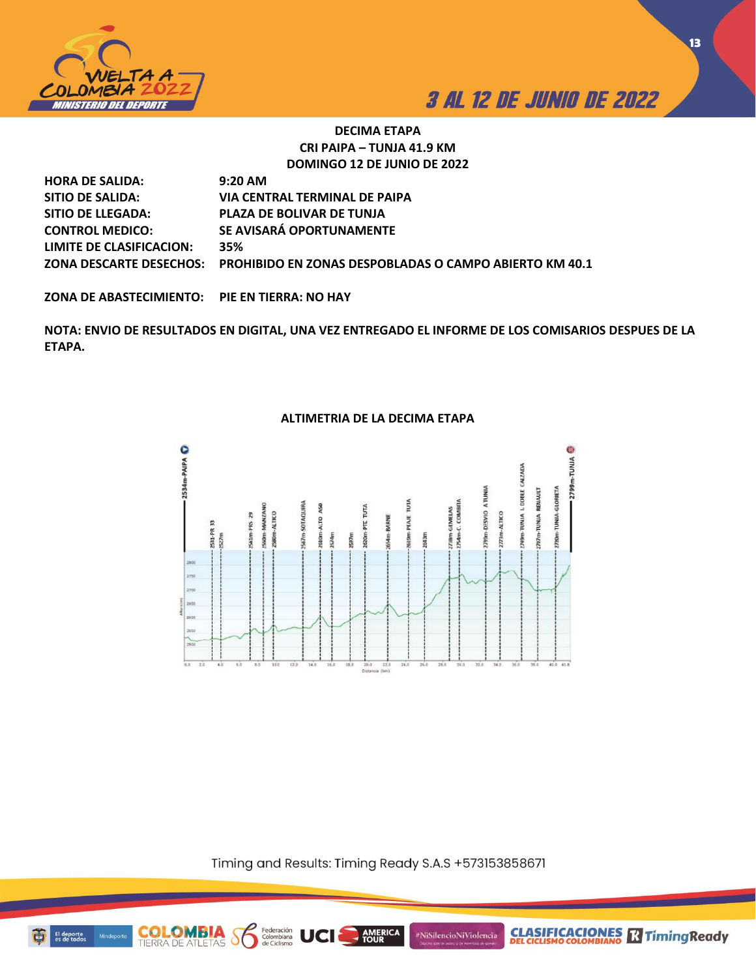

**CLASIFICACIONES M**Timing Ready

## **DECIMA ETAPA CRI PAIPA – TUNJA 41.9 KM DOMINGO 12 DE JUNIO DE 2022**

| <b>HORA DE SALIDA:</b>   | $9:20$ AM                                                                      |
|--------------------------|--------------------------------------------------------------------------------|
| SITIO DE SALIDA:         | VIA CENTRAL TERMINAL DE PAIPA                                                  |
| SITIO DE LLEGADA:        | <b>PLAZA DE BOLIVAR DE TUNJA</b>                                               |
| <b>CONTROL MEDICO:</b>   | SE AVISARÁ OPORTUNAMENTE                                                       |
| LIMITE DE CLASIFICACION: | 35%                                                                            |
|                          | ZONA DESCARTE DESECHOS: PROHIBIDO EN ZONAS DESPOBLADAS O CAMPO ABIERTO KM 40.1 |

**ZONA DE ABASTECIMIENTO: PIE EN TIERRA: NO HAY**

**NOTA: ENVIO DE RESULTADOS EN DIGITAL, UNA VEZ ENTREGADO EL INFORME DE LOS COMISARIOS DESPUES DE LA ETAPA.** 

## **ALTIMETRIA DE LA DECIMA ETAPA**



Timing and Results: Timing Ready S.A.S +573153858671

**AMERICA** 

#NiSilencioNiViolencia

**COLOMBIA**<br>TIERRA DE ATLETAS

Federación<br>Colombiana<br>de Ciclismo

S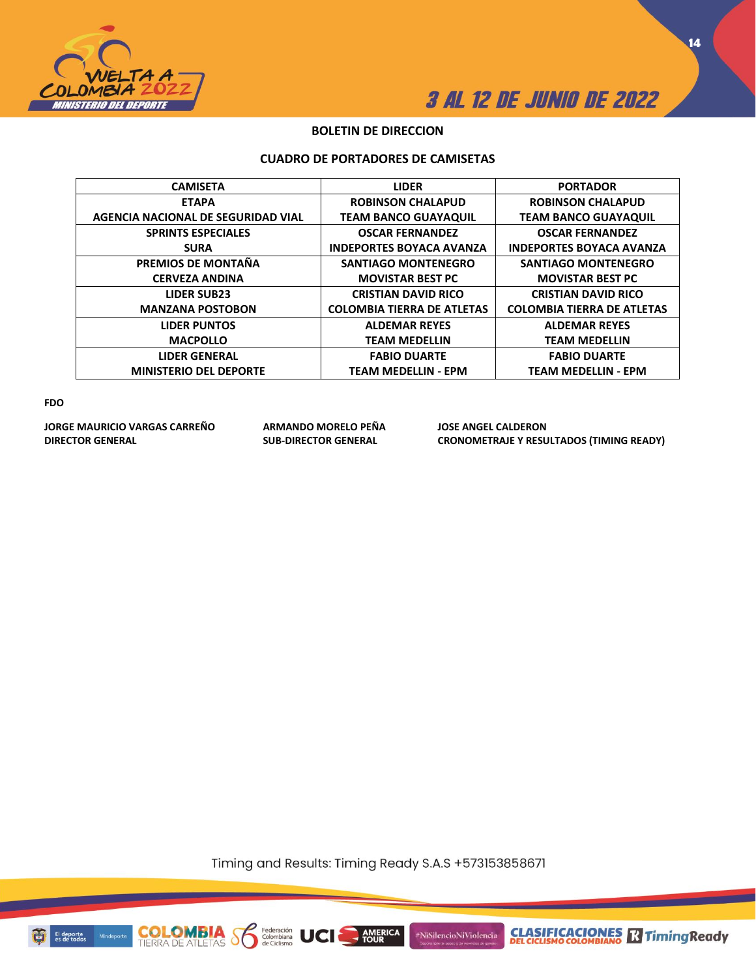



## **BOLETIN DE DIRECCION**

### **CUADRO DE PORTADORES DE CAMISETAS**

| <b>CAMISETA</b>                    | <b>LIDER</b>                      | <b>PORTADOR</b>                   |
|------------------------------------|-----------------------------------|-----------------------------------|
| <b>ETAPA</b>                       | <b>ROBINSON CHALAPUD</b>          | <b>ROBINSON CHALAPUD</b>          |
| AGENCIA NACIONAL DE SEGURIDAD VIAL | <b>TEAM BANCO GUAYAQUIL</b>       | <b>TEAM BANCO GUAYAQUIL</b>       |
| <b>SPRINTS ESPECIALES</b>          | <b>OSCAR FERNANDEZ</b>            | <b>OSCAR FERNANDEZ</b>            |
| <b>SURA</b>                        | <b>INDEPORTES BOYACA AVANZA</b>   | <b>INDEPORTES BOYACA AVANZA</b>   |
| PREMIOS DE MONTAÑA                 | <b>SANTIAGO MONTENEGRO</b>        | <b>SANTIAGO MONTENEGRO</b>        |
| <b>CERVEZA ANDINA</b>              | <b>MOVISTAR BEST PC</b>           | <b>MOVISTAR BEST PC</b>           |
| <b>LIDER SUB23</b>                 | <b>CRISTIAN DAVID RICO</b>        | <b>CRISTIAN DAVID RICO</b>        |
| <b>MANZANA POSTOBON</b>            | <b>COLOMBIA TIERRA DE ATLETAS</b> | <b>COLOMBIA TIERRA DE ATLETAS</b> |
| <b>LIDER PUNTOS</b>                | <b>ALDEMAR REYES</b>              | <b>ALDEMAR REYES</b>              |
| <b>MACPOLLO</b>                    | <b>TEAM MEDELLIN</b>              | <b>TEAM MEDELLIN</b>              |
| <b>LIDER GENERAL</b>               | <b>FABIO DUARTE</b>               | <b>FABIO DUARTE</b>               |
| <b>MINISTERIO DEL DEPORTE</b>      | <b>TEAM MEDELLIN - EPM</b>        | <b>TEAM MEDELLIN - EPM</b>        |
|                                    |                                   |                                   |

**FDO**

**JORGE MAURICIO VARGAS CARREÑO ARMANDO MORELO PEÑA JOSE ANGEL CALDERON**

**CRONOMETRAJE Y RESULTADOS (TIMING READY)** 

Timing and Results: Timing Ready S.A.S +573153858671

AMERICA

#NiSilencioNiViolencia



Mind

**COLOMBIA**<br>TIERRA DE ATLETAS

Federación<br>Colombiana<br>de Ciclismo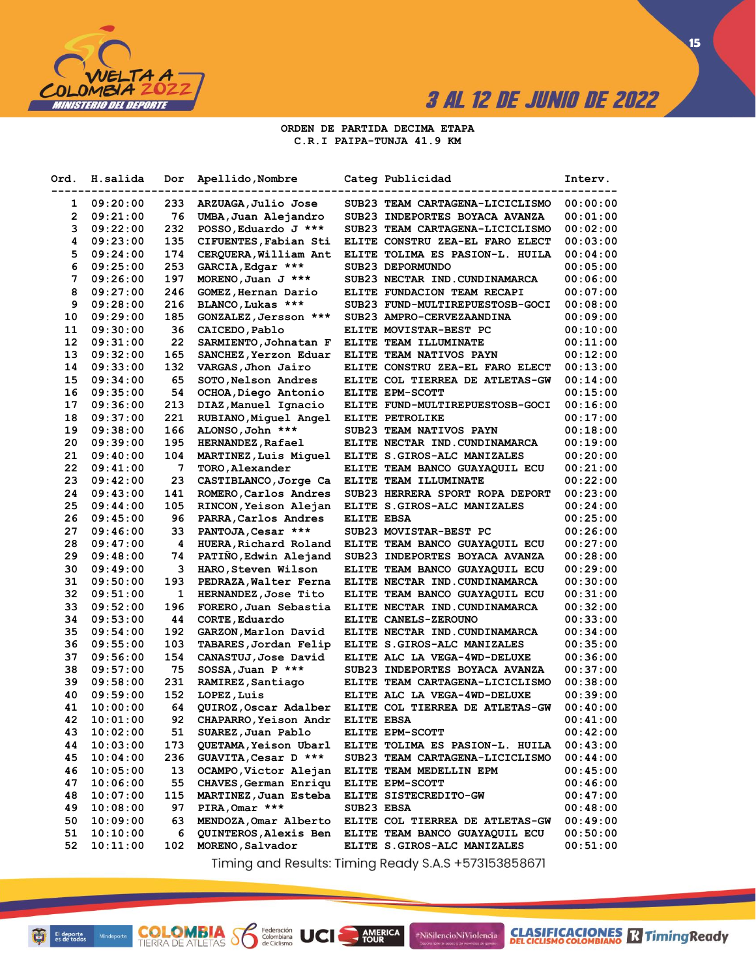

# **3 AL 12 DE JUNIO DE 2022**

 $\overline{15}$ 

#### ORDEN DE PARTIDA DECIMA ETAPA C.R.I PAIPA-TUNJA 41.9 KM

| Ord. | H.salida | Dor | Apellido, Nombre          |            | Categ Publicidad                | <b>Interv.</b> |
|------|----------|-----|---------------------------|------------|---------------------------------|----------------|
| 1    | 09:20:00 | 233 | ARZUAGA, Julio Jose       |            | SUB23 TEAM CARTAGENA-LICICLISMO | 00:00:00       |
| 2    | 09:21:00 | 76  | UMBA, Juan Alejandro      |            | SUB23 INDEPORTES BOYACA AVANZA  | 00:01:00       |
| з    | 09:22:00 | 232 | POSSO, Eduardo J ***      |            | SUB23 TEAM CARTAGENA-LICICLISMO | 00:02:00       |
| 4    | 09:23:00 | 135 | CIFUENTES, Fabian Sti     |            | ELITE CONSTRU ZEA-EL FARO ELECT | 00:03:00       |
| 5    | 09:24:00 | 174 | CERQUERA, William Ant     |            | ELITE TOLIMA ES PASION-L. HUILA | 00:04:00       |
| 6    | 09:25:00 | 253 | GARCIA, Edgar ***         |            | SUB23 DEPORMUNDO                | 00:05:00       |
| 7    | 09:26:00 | 197 | MORENO, Juan J ***        |            | SUB23 NECTAR IND. CUNDINAMARCA  | 00:06:00       |
| 8    | 09:27:00 | 246 | GOMEZ, Hernan Dario       |            | ELITE FUNDACION TEAM RECAPI     | 00:07:00       |
| 9    | 09:28:00 | 216 | BLANCO, Lukas ***         |            | SUB23 FUND-MULTIREPUESTOSB-GOCI | 00:08:00       |
| 10   | 09:29:00 | 185 | GONZALEZ, Jersson ***     |            | SUB23 AMPRO-CERVEZAANDINA       | 00:09:00       |
| 11   | 09:30:00 | 36  | CAICEDO, Pablo            |            | ELITE MOVISTAR-BEST PC          | 00:10:00       |
| 12   | 09:31:00 | 22  | SARMIENTO, Johnatan F     |            | ELITE TEAM ILLUMINATE           | 00:11:00       |
| 13   | 09:32:00 | 165 | SANCHEZ, Yerzon Eduar     |            | ELITE TEAM NATIVOS PAYN         | 00:12:00       |
| 14   | 09:33:00 | 132 | VARGAS, Jhon Jairo        |            | ELITE CONSTRU ZEA-EL FARO ELECT | 00:13:00       |
| 15   | 09:34:00 | 65  | SOTO, Nelson Andres       |            | ELITE COL TIERREA DE ATLETAS-GW | 00:14:00       |
| 16   | 09:35:00 | 54  | OCHOA, Diego Antonio      |            | ELITE EPM-SCOTT                 | 00:15:00       |
| 17   | 09:36:00 | 213 | DIAZ, Manuel Ignacio      |            | ELITE FUND-MULTIREPUESTOSB-GOCI | 00:16:00       |
| 18   | 09:37:00 | 221 | RUBIANO, Miquel Angel     |            | ELITE PETROLIKE                 | 00:17:00       |
| 19   | 09:38:00 | 166 | ALONSO, John ***          |            | SUB23 TEAM NATIVOS PAYN         | 00:18:00       |
| 20   | 09:39:00 | 195 | <b>HERNANDEZ, Rafael</b>  |            | ELITE NECTAR IND. CUNDINAMARCA  | 00:19:00       |
| 21   | 09:40:00 | 104 | MARTINEZ, Luis Miquel     |            | ELITE S.GIROS-ALC MANIZALES     | 00:20:00       |
| 22   | 09:41:00 | 7   | TORO, Alexander           |            | ELITE TEAM BANCO GUAYAQUIL ECU  | 00:21:00       |
| 23   | 09:42:00 | 23  | CASTIBLANCO, Jorge Ca     |            | ELITE TEAM ILLUMINATE           | 00:22:00       |
| 24   | 09:43:00 | 141 | ROMERO, Carlos Andres     |            | SUB23 HERRERA SPORT ROPA DEPORT | 00:23:00       |
| 25   | 09:44:00 | 105 | RINCON, Yeison Alejan     |            | ELITE S.GIROS-ALC MANIZALES     | 00:24:00       |
| 26   | 09:45:00 | 96  | PARRA, Carlos Andres      | ELITE EBSA |                                 | 00:25:00       |
| 27   | 09:46:00 | 33  | PANTOJA, Cesar ***        |            | SUB23 MOVISTAR-BEST PC          | 00:26:00       |
| 28   | 09:47:00 | 4   | HUERA, Richard Roland     |            | ELITE TEAM BANCO GUAYAQUIL ECU  | 00:27:00       |
| 29   | 09:48:00 | 74  | PATIÑO, Edwin Alejand     |            | SUB23 INDEPORTES BOYACA AVANZA  | 00:28:00       |
| 30   | 09:49:00 | з   | <b>HARO,Steven Wilson</b> |            | ELITE TEAM BANCO GUAYAQUIL ECU  | 00:29:00       |
| 31   | 09:50:00 | 193 | PEDRAZA, Walter Ferna     |            | ELITE NECTAR IND. CUNDINAMARCA  | 00:30:00       |
| 32   | 09:51:00 | 1   | HERNANDEZ, Jose Tito      |            | ELITE TEAM BANCO GUAYAQUIL ECU  | 00:31:00       |
| 33   | 09:52:00 | 196 | FORERO, Juan Sebastia     |            | ELITE NECTAR IND. CUNDINAMARCA  | 00:32:00       |
| 34   | 09:53:00 | 44  | CORTE, Eduardo            |            | ELITE CANELS-ZEROUNO            | 00:33:00       |
| 35   | 09:54:00 | 192 | GARZON, Marlon David      |            | ELITE NECTAR IND. CUNDINAMARCA  | 00:34:00       |
| 36   | 09:55:00 | 103 | TABARES, Jordan Felip     |            | ELITE S.GIROS-ALC MANIZALES     | 00:35:00       |
| 37   | 09:56:00 | 154 | CANASTUJ, Jose David      |            | ELITE ALC LA VEGA-4WD-DELUXE    | 00:36:00       |
| 38   | 09:57:00 | 75  | SOSSA, Juan P ***         |            | SUB23 INDEPORTES BOYACA AVANZA  | 00:37:00       |
| 39   | 09:58:00 | 231 | RAMIREZ, Santiago         |            | ELITE TEAM CARTAGENA-LICICLISMO | 00:38:00       |
| 40   | 09:59:00 | 152 | LOPEZ, Luis               |            | ELITE ALC LA VEGA-4WD-DELUXE    | 00:39:00       |
| 41   | 10:00:00 | 64  | QUIROZ, Oscar Adalber     |            | ELITE COL TIERREA DE ATLETAS-GW | 00:40:00       |
| 42   | 10:01:00 | 92  | CHAPARRO, Yeison Andr     | ELITE EBSA |                                 | 00:41:00       |
| 43   | 10:02:00 | 51  | SUAREZ, Juan Pablo        |            | ELITE EPM-SCOTT                 | 00:42:00       |
| 44   | 10:03:00 | 173 | QUETAMA, Yeison Ubarl     |            | ELITE TOLIMA ES PASION-L. HUILA | 00:43:00       |
| 45   | 10:04:00 | 236 | GUAVITA, Cesar D ***      |            | SUB23 TEAM CARTAGENA-LICICLISMO | 00:44:00       |
| 46   | 10:05:00 | 13  | OCAMPO, Victor Alejan     |            | ELITE TEAM MEDELLIN EPM         | 00:45:00       |
| 47   | 10:06:00 | 55  | CHAVES, German Enriqu     |            | ELITE EPM-SCOTT                 | 00:46:00       |
| 48   | 10:07:00 | 115 | MARTINEZ, Juan Esteba     |            | ELITE SISTECREDITO-GW           | 00:47:00       |
| 49   | 10:08:00 | 97  | PIRA, Omar ***            | SUB23 EBSA |                                 | 00:48:00       |
| 50   | 10:09:00 | 63  | MENDOZA, Omar Alberto     |            | ELITE COL TIERREA DE ATLETAS-GW | 00:49:00       |
| 51   | 10:10:00 | 6   | QUINTEROS, Alexis Ben     |            | ELITE TEAM BANCO GUAYAQUIL ECU  | 00:50:00       |
| 52   | 10:11:00 | 102 | MORENO, Salvador          |            | ELITE S.GIROS-ALC MANIZALES     | 00:51:00       |

Timing and Results: Timing Ready S.A.S +573153858671

**AMERICA** 

#NiSilencioNiViolencia

**COLOMBIA Se Ederación** UCI